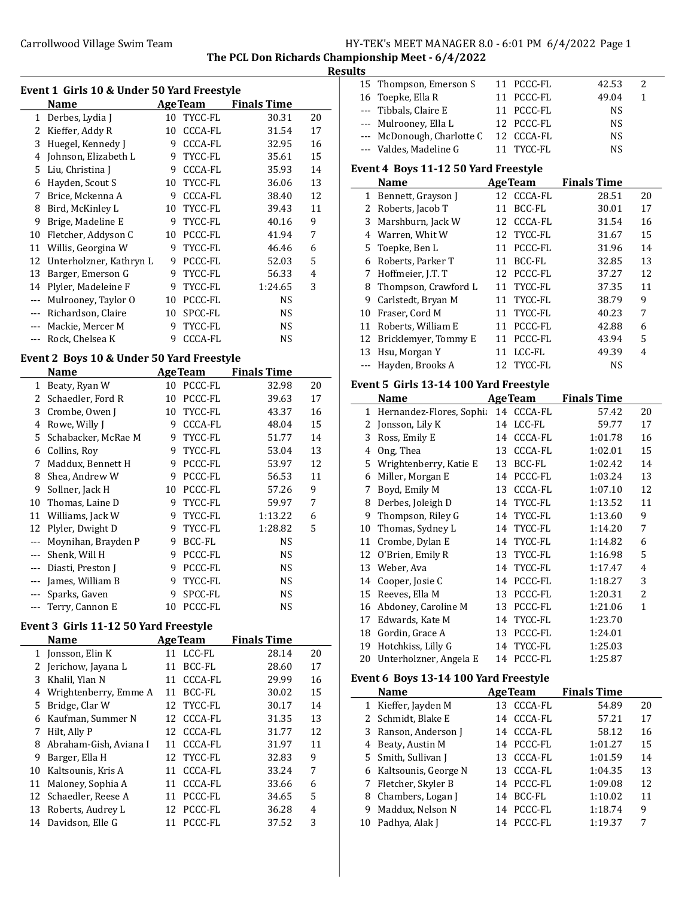## Carrollwood Village Swim Team Team Franch Manager MANAGER 8.0 - 6:01 PM 6/4/2022 Page 1

The PCL Don Richards Championship Meet - 6/4/2022

# Results

| Event 1 Girls 10 & Under 50 Yard Freestyle |                         |    |                |                    |    |
|--------------------------------------------|-------------------------|----|----------------|--------------------|----|
|                                            | Name                    |    | <b>AgeTeam</b> | <b>Finals Time</b> |    |
| 1                                          | Derbes, Lydia J         |    | 10 TYCC-FL     | 30.31              | 20 |
| 2                                          | Kieffer, Addy R         | 10 | <b>CCCA-FL</b> | 31.54              | 17 |
| 3                                          | Huegel, Kennedy J       | 9  | <b>CCCA-FL</b> | 32.95              | 16 |
| 4                                          | Johnson, Elizabeth L    | 9  | TYCC-FL        | 35.61              | 15 |
| 5                                          | Liu, Christina J        | 9  | <b>CCCA-FL</b> | 35.93              | 14 |
| 6                                          | Hayden, Scout S         | 10 | TYCC-FL        | 36.06              | 13 |
| 7                                          | Brice, Mckenna A        | 9  | <b>CCCA-FL</b> | 38.40              | 12 |
| 8                                          | Bird, McKinley L        | 10 | TYCC-FL        | 39.43              | 11 |
| 9                                          | Brige, Madeline E       | 9  | TYCC-FL        | 40.16              | 9  |
| 10                                         | Fletcher, Addyson C     | 10 | PCCC-FL        | 41.94              | 7  |
| 11                                         | Willis, Georgina W      | 9  | TYCC-FL        | 46.46              | 6  |
| 12                                         | Unterholzner, Kathryn L | 9  | PCCC-FL        | 52.03              | 5  |
| 13                                         | Barger, Emerson G       | 9  | TYCC-FL        | 56.33              | 4  |
| 14                                         | Plyler, Madeleine F     | 9  | TYCC-FL        | 1:24.65            | 3  |
| ---                                        | Mulrooney, Taylor O     | 10 | PCCC-FL        | <b>NS</b>          |    |
| $- - -$                                    | Richardson, Claire      | 10 | SPCC-FL        | <b>NS</b>          |    |
|                                            | Mackie, Mercer M        | 9  | TYCC-FL        | <b>NS</b>          |    |
|                                            | Rock, Chelsea K         | 9  | <b>CCCA-FL</b> | NS                 |    |
|                                            |                         |    |                |                    |    |

# Event 2 Boys 10 & Under 50 Yard Freestyle

|       | Name                |    | <b>AgeTeam</b> | <b>Finals Time</b> |    |
|-------|---------------------|----|----------------|--------------------|----|
| 1     | Beaty, Ryan W       | 10 | PCCC-FL        | 32.98              | 20 |
| 2     | Schaedler, Ford R   | 10 | PCCC-FL        | 39.63              | 17 |
| 3     | Crombe, Owen J      | 10 | TYCC-FL        | 43.37              | 16 |
| 4     | Rowe, Willy J       | 9  | <b>CCCA-FL</b> | 48.04              | 15 |
| 5.    | Schabacker, McRae M | 9  | TYCC-FL        | 51.77              | 14 |
| 6     | Collins, Roy        | 9  | TYCC-FL        | 53.04              | 13 |
| 7     | Maddux, Bennett H   | 9  | PCCC-FL        | 53.97              | 12 |
| 8     | Shea, Andrew W      | 9  | PCCC-FL        | 56.53              | 11 |
| 9     | Sollner, Jack H     | 10 | PCCC-FL        | 57.26              | 9  |
| 10    | Thomas, Laine D     | 9  | TYCC-FL        | 59.97              | 7  |
| 11    | Williams, Jack W    | 9  | TYCC-FL        | 1:13.22            | 6  |
| 12    | Plyler, Dwight D    | 9  | TYCC-FL        | 1:28.82            | 5  |
|       | Moynihan, Brayden P | 9  | BCC-FL         | NS                 |    |
|       | Shenk, Will H       | 9  | PCCC-FL        | NS.                |    |
| $---$ | Diasti, Preston J   | 9  | PCCC-FL        | <b>NS</b>          |    |
| ---   | James, William B    | 9  | TYCC-FL        | NS.                |    |
| ---   | Sparks, Gaven       | 9  | SPCC-FL        | <b>NS</b>          |    |
|       | Terry, Cannon E     | 10 | PCCC-FL        | NS                 |    |

## Event 3 Girls 11-12 50 Yard Freestyle

|    | <b>AgeTeam</b><br>Name |    | <b>Finals Time</b> |       |    |
|----|------------------------|----|--------------------|-------|----|
| 1  | Jonsson, Elin K        |    | 11 LCC-FL          | 28.14 | 20 |
| 2  | Jerichow, Jayana L     | 11 | <b>BCC-FL</b>      | 28.60 | 17 |
| 3  | Khalil, Ylan N         | 11 | CCCA-FL            | 29.99 | 16 |
| 4  | Wrightenberry, Emme A  | 11 | BCC-FL             | 30.02 | 15 |
| 5  | Bridge, Clar W         |    | 12 TYCC-FL         | 30.17 | 14 |
| 6  | Kaufman, Summer N      |    | 12 CCCA-FL         | 31.35 | 13 |
| 7  | Hilt, Ally P           |    | 12 CCCA-FL         | 31.77 | 12 |
| 8  | Abraham-Gish, Aviana I | 11 | CCCA-FL            | 31.97 | 11 |
| 9  | Barger, Ella H         |    | 12 TYCC-FL         | 32.83 | 9  |
| 10 | Kaltsounis, Kris A     | 11 | CCCA-FL            | 33.24 | 7  |
| 11 | Maloney, Sophia A      | 11 | CCCA-FL            | 33.66 | 6  |
| 12 | Schaedler, Reese A     | 11 | PCCC-FL            | 34.65 | 5  |
| 13 | Roberts, Audrey L      |    | 12 PCCC-FL         | 36.28 | 4  |
| 14 | Davidson, Elle G       | 11 | PCCC-FL            | 37.52 | 3  |

| . |                            |            |           |   |  |
|---|----------------------------|------------|-----------|---|--|
|   | 15 Thompson, Emerson S     | 11 PCCC-FL | 42.53     | 2 |  |
|   | 16 Toepke, Ella R          | 11 PCCC-FL | 49.04     |   |  |
|   | --- Tibbals, Claire E      | 11 PCCC-FL | <b>NS</b> |   |  |
|   | --- Mulrooney, Ella L      | 12 PCCC-FL | <b>NS</b> |   |  |
|   | --- McDonough, Charlotte C | 12 CCCA-FL | <b>NS</b> |   |  |
|   | --- Valdes, Madeline G     | 11 TYCC-FL | NS        |   |  |

# Event 4 Boys 11-12 50 Yard Freestyle

|    | <b>Name</b>          |     | <b>AgeTeam</b> | <b>Finals Time</b> |    |
|----|----------------------|-----|----------------|--------------------|----|
| 1  | Bennett, Grayson J   |     | 12 CCCA-FL     | 28.51              | 20 |
|    | 2 Roberts, Jacob T   | 11  | BCC-FL         | 30.01              | 17 |
| 3  | Marshburn, Jack W    |     | 12 CCCA-FL     | 31.54              | 16 |
| 4  | Warren, Whit W       |     | 12 TYCC-FL     | 31.67              | 15 |
|    | 5 Toepke, Ben L      | 11  | PCCC-FL        | 31.96              | 14 |
| 6  | Roberts. Parker T    | 11  | BCC-FL         | 32.85              | 13 |
| 7  | Hoffmeier, J.T. T    |     | 12 PCCC-FL     | 37.27              | 12 |
| 8  | Thompson, Crawford L |     | 11 TYCC-FL     | 37.35              | 11 |
| 9  | Carlstedt, Bryan M   |     | 11 TYCC-FL     | 38.79              | 9  |
| 10 | Fraser, Cord M       | 11  | TYCC-FL        | 40.23              | 7  |
| 11 | Roberts, William E   | 11  | PCCC-FL        | 42.88              | 6  |
| 12 | Bricklemyer, Tommy E | 11  | PCCC-FL        | 43.94              | 5  |
| 13 | Hsu, Morgan Y        | 11  | LCC-FL         | 49.39              | 4  |
|    | Hayden, Brooks A     | 12. | TYCC-FL        | NS                 |    |

## Event 5 Girls 13-14 100 Yard Freestyle

|    | <b>Name</b>              |    | <b>AgeTeam</b> | <b>Finals Time</b> |                |
|----|--------------------------|----|----------------|--------------------|----------------|
| 1  | Hernandez-Flores, Sophia | 14 | CCCA-FL        | 57.42              | 20             |
| 2  | Jonsson, Lily K          | 14 | LCC-FL         | 59.77              | 17             |
| 3  | Ross, Emily E            | 14 | CCCA-FL        | 1:01.78            | 16             |
| 4  | Ong, Thea                | 13 | CCCA-FL        | 1:02.01            | 15             |
| 5. | Wrightenberry, Katie E   | 13 | BCC-FL         | 1:02.42            | 14             |
| 6  | Miller, Morgan E         | 14 | PCCC-FL        | 1:03.24            | 13             |
| 7  | Boyd, Emily M            | 13 | <b>CCCA-FL</b> | 1:07.10            | 12             |
| 8  | Derbes, Joleigh D        | 14 | TYCC-FL        | 1:13.52            | 11             |
| 9  | Thompson, Riley G        |    | 14 TYCC-FL     | 1:13.60            | 9              |
| 10 | Thomas, Sydney L         |    | 14 TYCC-FL     | 1:14.20            | 7              |
| 11 | Crombe, Dylan E          | 14 | TYCC-FL        | 1:14.82            | 6              |
| 12 | O'Brien, Emily R         | 13 | TYCC-FL        | 1:16.98            | 5              |
| 13 | Weber, Ava               | 14 | TYCC-FL        | 1:17.47            | $\overline{4}$ |
| 14 | Cooper, Josie C          | 14 | PCCC-FL        | 1:18.27            | 3              |
| 15 | Reeves, Ella M           | 13 | PCCC-FL        | 1:20.31            | $\overline{c}$ |
| 16 | Abdoney, Caroline M      | 13 | PCCC-FL        | 1:21.06            | $\mathbf{1}$   |
| 17 | Edwards, Kate M          | 14 | TYCC-FL        | 1:23.70            |                |
| 18 | Gordin, Grace A          | 13 | PCCC-FL        | 1:24.01            |                |
| 19 | Hotchkiss, Lilly G       | 14 | TYCC-FL        | 1:25.03            |                |
| 20 | Unterholzner, Angela E   |    | 14 PCCC-FL     | 1:25.87            |                |

## Event 6 Boys 13-14 100 Yard Freestyle

|    | <b>Name</b>            |    | <b>AgeTeam</b> | <b>Finals Time</b> |    |
|----|------------------------|----|----------------|--------------------|----|
|    | 1 Kieffer, Jayden M    |    | 13 CCCA-FL     | 54.89              | 20 |
|    | 2 Schmidt, Blake E     | 14 | CCCA-FL        | 57.21              | 17 |
|    | 3 Ranson, Anderson J   |    | 14 CCCA-FL     | 58.12              | 16 |
|    | 4 Beaty, Austin M      |    | 14 PCCC-FL     | 1:01.27            | 15 |
|    | 5 Smith, Sullivan J    | 13 | CCCA-FL        | 1:01.59            | 14 |
|    | 6 Kaltsounis, George N | 13 | CCCA-FL        | 1:04.35            | 13 |
|    | 7 Fletcher, Skyler B   |    | 14 PCCC-FL     | 1:09.08            | 12 |
| 8  | Chambers, Logan J      |    | 14 BCC-FL      | 1:10.02            | 11 |
| 9  | Maddux, Nelson N       |    | 14 PCCC-FL     | 1:18.74            | 9  |
| 10 | Padhya, Alak J         | 14 | PCCC-FL        | 1:19.37            |    |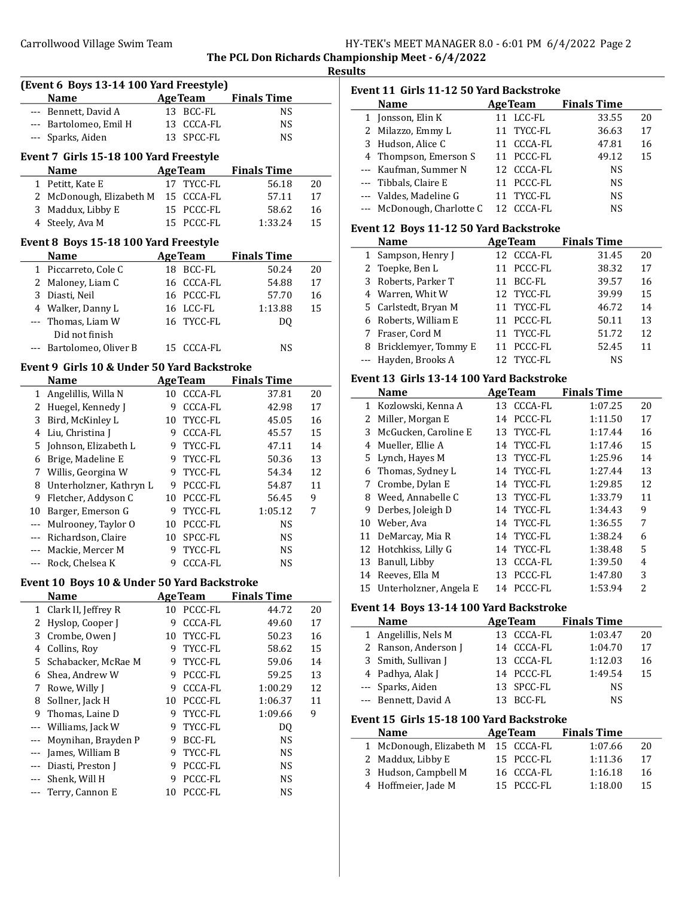| HY-TEK's MEET MANAGER 8.0 - 6:01 PM 6/4/2022 Page 2 |  |  |
|-----------------------------------------------------|--|--|
|-----------------------------------------------------|--|--|

The PCL Don Richards Championship Meet - 6/4/2022

|--|

| (Event 6 Boys 13-14 100 Yard Freestyle) |                                             |    |                 |                    |    |
|-----------------------------------------|---------------------------------------------|----|-----------------|--------------------|----|
|                                         | Name                                        |    | <b>AgeTeam</b>  | <b>Finals Time</b> |    |
|                                         | --- Bennett, David A                        |    | 13 BCC-FL       | <b>NS</b>          |    |
|                                         | --- Bartolomeo, Emil H                      | 13 | <b>CCCA-FL</b>  | <b>NS</b>          |    |
|                                         | --- Sparks, Aiden                           | 13 | SPCC-FL         | <b>NS</b>          |    |
|                                         | Event 7 Girls 15-18 100 Yard Freestyle      |    |                 |                    |    |
|                                         | Name                                        |    | <b>Age Team</b> | <b>Finals Time</b> |    |
|                                         | 1 Petitt, Kate E                            |    | 17 TYCC-FL      | 56.18              | 20 |
|                                         | 2 McDonough, Elizabeth M                    |    | 15 CCCA-FL      | 57.11              | 17 |
|                                         | 3 Maddux, Libby E                           |    | 15 PCCC-FL      | 58.62              | 16 |
|                                         | 4 Steely, Ava M                             |    | 15 PCCC-FL      | 1:33.24            | 15 |
|                                         | Event 8 Boys 15-18 100 Yard Freestyle       |    |                 |                    |    |
|                                         | <b>Name</b>                                 |    | <b>AgeTeam</b>  | <b>Finals Time</b> |    |
|                                         | 1 Piccarreto, Cole C                        |    | 18 BCC-FL       | 50.24              | 20 |
|                                         | 2 Maloney, Liam C                           |    | 16 CCCA-FL      | 54.88              | 17 |
|                                         | 3 Diasti, Neil                              |    | 16 PCCC-FL      | 57.70              | 16 |
|                                         | 4 Walker, Danny L                           |    | 16 LCC-FL       | 1:13.88            | 15 |
| ---                                     | Thomas, Liam W                              |    | 16 TYCC-FL      | DQ                 |    |
|                                         | Did not finish                              |    |                 |                    |    |
|                                         | Bartolomeo, Oliver B                        |    | 15 CCCA-FL      | NS                 |    |
|                                         | Event 9 Girls 10 & Under 50 Yard Backstroke |    |                 |                    |    |
|                                         | <b>Name</b>                                 |    | <b>Age Team</b> | <b>Finals Time</b> |    |
| 1                                       | Angelillis, Willa N                         | 10 | CCCA-FL         | 37.81              | 20 |
|                                         | 2 Huegel, Kennedy J                         |    | 9 CCCA-FL       | 42.98              | 17 |
|                                         | 3 Bird, McKinley L                          |    | 10 TYCC-FL      | 45.05              | 16 |
|                                         | 4 Liu, Christina J                          |    | 9 CCCA-FL       | 45.57              | 15 |
| 5                                       | Johnson, Elizabeth L                        |    | 9 TYCC-FL       | 47.11              | 14 |
|                                         | 6 Brige, Madeline E                         |    | 9 TYCC-FL       | 50.36              | 13 |
| 7                                       | Willis, Georgina W                          |    | 9 TYCC-FL       | 54.34              | 12 |
| 8                                       | Unterholzner, Kathryn L                     |    | 9 PCCC-FL       | 54.87              | 11 |
| 9                                       | Fletcher, Addyson C                         |    | 10 PCCC-FL      | 56.45              | 9  |
|                                         | 10 Barger, Emerson G                        |    | 9 TYCC-FL       | 1:05.12            | 7  |
|                                         | --- Mulrooney, Taylor O                     |    | 10 PCCC-FL      | <b>NS</b>          |    |
|                                         | --- Richardson, Claire                      |    | 10 SPCC-FL      | <b>NS</b>          |    |
|                                         | --- Mackie, Mercer M                        | 9  | TYCC-FL         | <b>NS</b>          |    |
|                                         | --- Rock, Chelsea K                         | 9  | <b>CCCA-FL</b>  | <b>NS</b>          |    |
|                                         | Event 10 Boys 10 & Under 50 Yard Backstroke |    |                 |                    |    |
|                                         | <b>Name</b>                                 |    | <b>AgeTeam</b>  | <b>Finals Time</b> |    |
| $\mathbf{1}$                            | Clark II, Jeffrey R                         | 10 | PCCC-FL         | 44.72              | 20 |
| 2                                       | Hyslop, Cooper J                            | 9  | CCCA-FL         | 49.60              | 17 |
| 3                                       | Crombe, Owen J                              | 10 | TYCC-FL         | 50.23              | 16 |
| 4                                       | Collins, Roy                                | 9  | TYCC-FL         | 58.62              | 15 |
| 5                                       | Schabacker, McRae M                         | 9  | TYCC-FL         | 59.06              | 14 |
| 6                                       | Shea, Andrew W                              | 9  | PCCC-FL         | 59.25              | 13 |
| 7                                       | Rowe, Willy J                               | 9  | CCCA-FL         | 1:00.29            | 12 |
| 8                                       | Sollner, Jack H                             | 10 | PCCC-FL         | 1:06.37            | 11 |
| 9                                       | Thomas, Laine D                             | 9  | TYCC-FL         | 1:09.66            | 9  |
|                                         | Williams, Jack W                            | 9  | TYCC-FL         | DQ                 |    |
|                                         | Moynihan, Brayden P                         | 9  | BCC-FL          | NS                 |    |
| ---                                     | James, William B                            | 9  | TYCC-FL         | NS                 |    |
|                                         | Diasti, Preston J                           | 9  | PCCC-FL         | NS                 |    |
|                                         | Shenk, Will H                               | 9  | PCCC-FL         | NS                 |    |
|                                         | Terry, Cannon E                             | 10 | PCCC-FL         | NS                 |    |

| Event 11  Girls 11-12 50 Yard Backstroke |                            |                |                    |    |  |  |
|------------------------------------------|----------------------------|----------------|--------------------|----|--|--|
|                                          | <b>Name</b>                | <b>AgeTeam</b> | <b>Finals Time</b> |    |  |  |
|                                          | 1 Jonsson, Elin K          | 11 LCC-FL      | 33.55              | 20 |  |  |
|                                          | 2 Milazzo, Emmy L          | 11 TYCC-FL     | 36.63              | 17 |  |  |
|                                          | 3 Hudson, Alice C          | 11 CCCA-FL     | 47.81              | 16 |  |  |
|                                          | 4 Thompson, Emerson S      | 11 PCCC-FL     | 49.12              | 15 |  |  |
|                                          | --- Kaufman, Summer N      | 12 CCCA-FL     | <b>NS</b>          |    |  |  |
|                                          | --- Tibbals, Claire E      | 11 PCCC-FL     | <b>NS</b>          |    |  |  |
|                                          | --- Valdes, Madeline G     | 11 TYCC-FL     | <b>NS</b>          |    |  |  |
|                                          | --- McDonough, Charlotte C | 12 CCCA-FL     | NS.                |    |  |  |

## Event 12 Boys 11-12 50 Yard Backstroke

| <b>Name</b>            | <b>AgeTeam</b> | <b>Finals Time</b> |    |
|------------------------|----------------|--------------------|----|
| 1 Sampson, Henry J     | 12 CCCA-FL     | 31.45              | 20 |
| 2 Toepke, Ben L        | PCCC-FL<br>11  | 38.32              | 17 |
| 3 Roberts, Parker T    | 11 BCC-FL      | 39.57              | 16 |
| 4 Warren, Whit W       | 12 TYCC-FL     | 39.99              | 15 |
| 5 Carlstedt, Bryan M   | 11 TYCC-FL     | 46.72              | 14 |
| 6 Roberts, William E   | 11 PCCC-FL     | 50.11              | 13 |
| 7 Fraser, Cord M       | 11 TYCC-FL     | 51.72              | 12 |
| 8 Bricklemyer, Tommy E | 11 PCCC-FL     | 52.45              | 11 |
| --- Hayden, Brooks A   | 12 TYCC-FL     | NS                 |    |

### Event 13 Girls 13-14 100 Yard Backstroke

| <b>Name</b> |                           | <b>AgeTeam</b>       | <b>Finals Time</b> |    |
|-------------|---------------------------|----------------------|--------------------|----|
| 1           | Kozlowski, Kenna A        | <b>CCCA-FL</b><br>13 | 1:07.25            | 20 |
| 2           | Miller, Morgan E          | PCCC-FL<br>14        | 1:11.50            | 17 |
| 3           | McGucken, Caroline E      | TYCC-FL<br>13        | 1:17.44            | 16 |
| 4           | Mueller, Ellie A          | TYCC-FL<br>14        | 1:17.46            | 15 |
|             | 5 Lynch, Hayes M          | 13 TYCC-FL           | 1:25.96            | 14 |
| 6           | Thomas, Sydney L          | TYCC-FL<br>14        | 1:27.44            | 13 |
| 7           | Crombe, Dylan E           | TYCC-FL<br>14        | 1:29.85            | 12 |
| 8           | Weed, Annabelle C         | 13 TYCC-FL           | 1:33.79            | 11 |
| 9           | Derbes, Joleigh D         | TYCC-FL<br>14        | 1:34.43            | 9  |
| 10          | Weber, Ava                | 14 TYCC-FL           | 1:36.55            | 7  |
| 11          | DeMarcay, Mia R           | TYCC-FL<br>14        | 1:38.24            | 6  |
| 12          | Hotchkiss, Lilly G        | TYCC-FL<br>14        | 1:38.48            | 5  |
| 13          | Banull, Libby             | CCCA-FL<br>13        | 1:39.50            | 4  |
| 14          | Reeves, Ella M            | PCCC-FL<br>13        | 1:47.80            | 3  |
|             | 15 Unterholzner, Angela E | PCCC-FL<br>14        | 1:53.94            | 2  |

### Event 14 Boys 13-14 100 Yard Backstroke

| <b>Name</b>          | <b>AgeTeam</b> | <b>Finals Time</b> |    |
|----------------------|----------------|--------------------|----|
| 1 Angelillis, Nels M | 13 CCCA-FL     | 1:03.47            | 20 |
| 2 Ranson, Anderson J | 14 CCCA-FL     | 1:04.70            | 17 |
| 3 Smith, Sullivan J  | 13 CCCA-FL     | 1:12.03            | 16 |
| 4 Padhya, Alak J     | 14 PCCC-FL     | 1:49.54            | 15 |
| --- Sparks, Aiden    | 13 SPCC-FL     | <b>NS</b>          |    |
| --- Bennett, David A | 13 BCC-FL      | <b>NS</b>          |    |

### Event 15 Girls 15-18 100 Yard Backstroke

| <b>Name</b>              | <b>AgeTeam</b> | <b>Finals Time</b> |    |
|--------------------------|----------------|--------------------|----|
| 1 McDonough, Elizabeth M | 15 CCCA-FL     | 1:07.66            | 20 |
| 2 Maddux, Libby E        | 15 PCCC-FL     | 1:11.36            | 17 |
| 3 Hudson, Campbell M     | 16 CCCA-FL     | 1:16.18            | 16 |
| 4 Hoffmeier, Jade M      | 15 PCCC-FL     | 1:18.00            | 15 |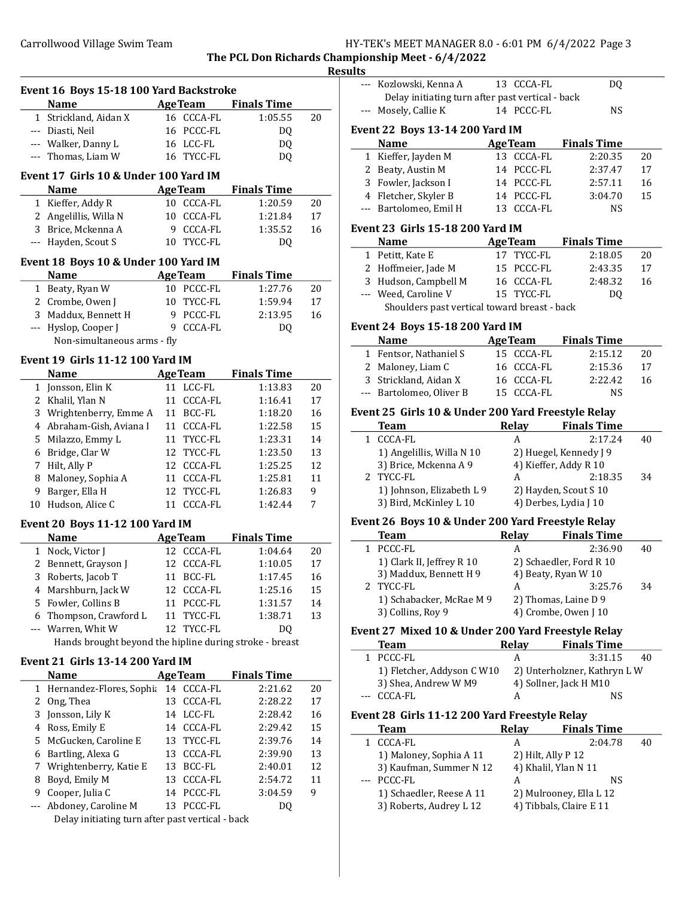Event 16 Boys 15-18 100 Yard Backstroke

### Carrollwood Village Swim Team  $HY-TEK'$ s MEET MANAGER 8.0 - 6:01 PM 6/4/2022 Page 3

The PCL Don Richards Championship Meet - 6/4/2022 Results

 $\overline{a}$ 

 $\overline{a}$ 

 $\overline{a}$ 

## Name Age Team Finals Time 1 Strickland, Aidan X 16 CCCA-FL 1:05.55 20 --- Diasti, Neil 16 PCCC-FL DQ --- Walker, Danny L 16 LCC-FL DO --- Thomas, Liam W 16 TYCC-FL DQ Event 17 Girls 10 & Under 100 Yard IM Name Age Team Finals Time 1 Kieffer, Addy R 10 CCCA-FL 1:20.59 20 2 Angelillis, Willa N 10 CCCA-FL 1:21.84 17 3 Brice, Mckenna A 9 CCCA-FL 1:35.52 16 --- Hayden, Scout S 10 TYCC-FL DO Event 18 Boys 10 & Under 100 Yard IM Name **Age Team** Finals Time 1 Beaty, Ryan W 10 PCCC-FL 1:27.76 20 2 Crombe, Owen J 10 TYCC-FL 1:59.94 17 3 Maddux, Bennett H 9 PCCC-FL 2:13.95 16 --- Hyslop, Cooper J 9 CCCA-FL DQ Non-simultaneous arms - fly Event 19 Girls 11-12 100 Yard IM Name Age Team Finals Time 1 Jonsson, Elin K 11 LCC-FL 1:13.83 20 2 Khalil, Ylan N 11 CCCA-FL 1:16.41 17 3 Wrightenberry, Emme A 11 BCC-FL 1:18.20 16 4 1:22.58 15 Abraham-Gish, Aviana I 11 CCCA-FL 5 Milazzo, Emmy L 11 TYCC-FL 1:23.31 14 6 1:23.50 13 Bridge, Clar W 12 TYCC-FL 7 Hilt, Ally P 12 CCCA-FL 1:25.25 12 8 Maloney, Sophia A 11 CCCA-FL 1:25.81 11 9 Barger, Ella H 12 TYCC-FL 1:26.83 9 10 Hudson, Alice C 11 CCCA-FL 1:42.44 7 Event 20 Boys 11-12 100 Yard IM Name Age Team Finals Time 1 Nock, Victor J 12 CCCA-FL 1:04.64 20 2 Bennett, Grayson J 12 CCCA-FL 1:10.05 17 3 Roberts, Jacob T 11 BCC-FL 1:17.45 16 4 Marshburn, Jack W 12 CCCA-FL 1:25.16 15 5 Fowler, Collins B 11 PCCC-FL 1:31.57 14 6 1:38.71 13 Thompson, Crawford L 11 TYCC-FL --- Warren, Whit W 12 TYCC-FL DQ Hands brought beyond the hipline during stroke - breast Event 21 Girls 13-14 200 Yard IM Name Age Team Finals Time 1 Hernandez-Flores, Sophia 14 CCCA-FL 2:21.62 20 2 Ong, Thea 13 CCCA-FL 2:28.22 17 3 Jonsson, Lily K 14 LCC-FL 2:28.42 16 4 2:29.42 15 Ross, Emily E 14 CCCA-FL 5 2:39.76 14 McGucken, Caroline E 13 TYCC-FL 6 2:39.90 13 Bartling, Alexa G 13 CCCA-FL 7 2:40.01 12 Wrightenberry, Katie E 13 BCC-FL 8 Boyd, Emily M 13 CCCA-FL 2:54.72 11 9 Cooper, Julia C 14 PCCC-FL 3:04.59 9 --- Abdoney, Caroline M 13 PCCC-FL DQ Delay initiating turn after past vertical - back

|              | --- Kozlowski, Kenna A                              | 13 CCCA-FL           | DQ                          |    |
|--------------|-----------------------------------------------------|----------------------|-----------------------------|----|
|              | Delay initiating turn after past vertical - back    |                      |                             |    |
|              | --- Mosely, Callie K                                | 14 PCCC-FL           | <b>NS</b>                   |    |
|              | <b>Event 22 Boys 13-14 200 Yard IM</b>              |                      |                             |    |
|              | <b>Name</b>                                         |                      | AgeTeam Finals Time         |    |
| 1            | Kieffer, Jayden M                                   | 13 CCCA-FL           | 2:20.35                     | 20 |
|              | 2 Beaty, Austin M                                   | 14 PCCC-FL           | 2:37.47                     | 17 |
|              | 3 Fowler, Jackson I                                 | 14 PCCC-FL           | 2:57.11                     | 16 |
|              | 4 Fletcher, Skyler B                                | 14 PCCC-FL           | 3:04.70                     | 15 |
|              | --- Bartolomeo, Emil H                              | 13 CCCA-FL           | <b>NS</b>                   |    |
|              | Event 23  Girls 15-18 200 Yard IM                   |                      |                             |    |
|              | <b>Name</b>                                         |                      | <b>AgeTeam</b> Finals Time  |    |
|              | 1 Petitt, Kate E                                    | 17 TYCC-FL           | 2:18.05                     | 20 |
|              | 2 Hoffmeier, Jade M                                 | 15 PCCC-FL           | 2:43.35                     | 17 |
|              | 3 Hudson, Campbell M                                | 16 CCCA-FL           | 2:48.32                     | 16 |
|              | --- Weed, Caroline V                                | 15 TYCC-FL           | DQ                          |    |
|              | Shoulders past vertical toward breast - back        |                      |                             |    |
|              |                                                     |                      |                             |    |
|              | <b>Event 24 Boys 15-18 200 Yard IM</b>              |                      |                             |    |
|              | <b>Name</b>                                         | <b>AgeTeam</b>       | <b>Finals Time</b>          |    |
|              | 1 Fentsor, Nathaniel S                              | 15 CCCA-FL           | 2:15.12                     | 20 |
|              | 2 Maloney, Liam C                                   | 16 CCCA-FL           | 2:15.36                     | 17 |
|              | 3 Strickland, Aidan X                               | 16 CCCA-FL           | 2:22.42                     | 16 |
|              | --- Bartolomeo, Oliver B                            | 15 CCCA-FL           | NS                          |    |
|              | Event 25 Girls 10 & Under 200 Yard Freestyle Relay  |                      |                             |    |
|              | <b>Team</b>                                         |                      | Relay Finals Time           |    |
|              | 1 CCCA-FL                                           | A                    | 2:17.24                     | 40 |
|              | 1) Angelillis, Willa N 10                           |                      | 2) Huegel, Kennedy J 9      |    |
|              | 3) Brice, Mckenna A 9                               |                      | 4) Kieffer, Addy R 10       |    |
| 2            | TYCC-FL                                             | A                    | 2:18.35                     | 34 |
|              | 1) Johnson, Elizabeth L 9                           |                      | 2) Hayden, Scout S 10       |    |
|              | 3) Bird, McKinley L 10                              |                      | 4) Derbes, Lydia J 10       |    |
|              | Event 26 Boys 10 & Under 200 Yard Freestyle Relay   |                      |                             |    |
|              | Team                                                |                      | Relay Finals Time           |    |
| $\mathbf{1}$ | PCCC-FL                                             | A                    | 2:36.90                     | 40 |
|              | 1) Clark II, Jeffrey R 10                           |                      | 2) Schaedler, Ford R 10     |    |
|              | 3) Maddux, Bennett H 9                              |                      | 4) Beaty, Ryan W 10         |    |
| 2            | TYCC-FL                                             | A                    | 3:25.76                     | 34 |
|              | 1) Schabacker, McRae M 9                            |                      | 2) Thomas, Laine D 9        |    |
|              | 3) Collins, Roy 9                                   |                      | 4) Crombe, Owen J 10        |    |
|              | Event 27  Mixed 10 & Under 200 Yard Freestyle Relay |                      |                             |    |
|              | <b>Team</b>                                         | <b>Relay</b>         | <b>Finals Time</b>          |    |
| 1            | PCCC-FL                                             | A                    | 3:31.15                     | 40 |
|              | 1) Fletcher, Addyson C W10                          |                      | 2) Unterholzner, Kathryn LW |    |
|              | 3) Shea, Andrew W M9                                |                      | 4) Sollner, Jack H M10      |    |
| ---          | <b>CCCA-FL</b>                                      | A                    | NS                          |    |
|              | Event 28  Girls 11-12 200 Yard Freestyle Relay      |                      |                             |    |
|              | Team                                                | <b>Relay</b>         | <b>Finals Time</b>          |    |
| 1            | <b>CCCA-FL</b>                                      | A                    | 2:04.78                     | 40 |
|              | 1) Maloney, Sophia A 11                             | 2) Hilt, Ally P 12   |                             |    |
|              | 3) Kaufman, Summer N 12                             | 4) Khalil, Ylan N 11 |                             |    |
|              | PCCC-FL                                             | A                    | NS                          |    |
|              | 1) Schaedler, Reese A 11                            |                      | 2) Mulrooney, Ella L 12     |    |
|              | 3) Roberts, Audrey L 12                             |                      | 4) Tibbals, Claire E 11     |    |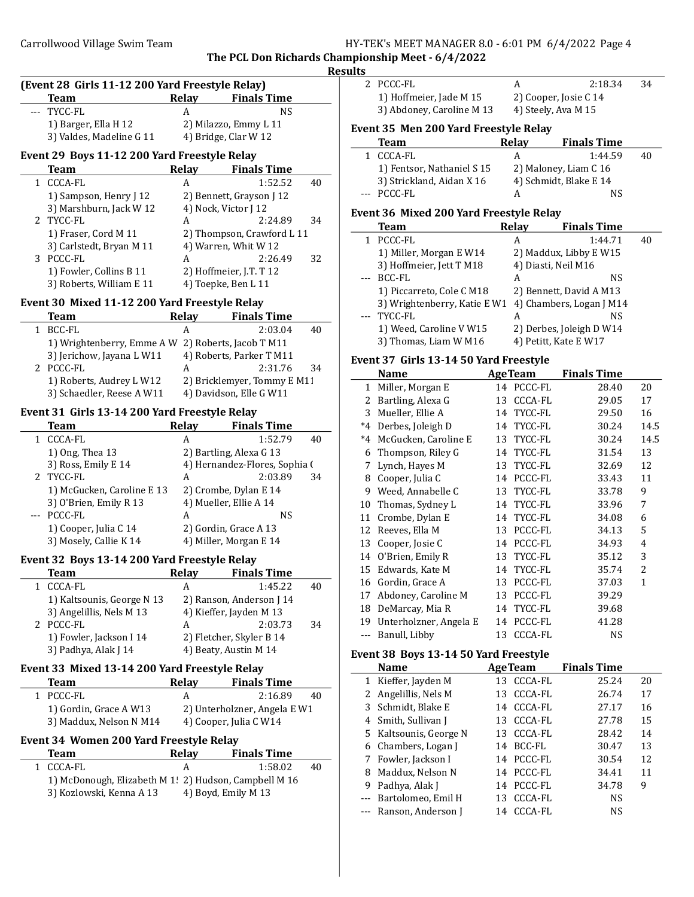# Carrollwood Village Swim Team Team Function States of HY-TEK's MEET MANAGER 8.0 - 6:01 PM 6/4/2022 Page 4

The PCL Don Richards Championship Meet - 6/4/2022 Results

| (Event 28 Girls 11-12 200 Yard Freestyle Relay) |       |                       |  |
|-------------------------------------------------|-------|-----------------------|--|
| <b>Team</b>                                     | Relay | <b>Finals Time</b>    |  |
| --- TYCC-FL                                     | А     | NS                    |  |
| 1) Barger, Ella H 12                            |       | 2) Milazzo, Emmy L 11 |  |
| 3) Valdes, Madeline G 11                        |       | 4) Bridge, Clar W 12  |  |

# Event 29 Boys 11-12 200 Yard Freestyle Relay

| <b>Team</b>              | Relay | <b>Finals Time</b>         |    |
|--------------------------|-------|----------------------------|----|
| CCCA-FL                  | А     | 1:52.52                    | 40 |
| 1) Sampson, Henry J 12   |       | 2) Bennett, Grayson J 12   |    |
| 3) Marshburn, Jack W 12  |       | 4) Nock, Victor J 12       |    |
| 2 TYCC-FL                | А     | 2:24.89                    | 34 |
| 1) Fraser, Cord M 11     |       | 2) Thompson, Crawford L 11 |    |
| 3) Carlstedt, Bryan M 11 |       | 4) Warren, Whit W 12       |    |
| PCCC-FL                  | А     | 2:26.49                    | 32 |
| 1) Fowler, Collins B 11  |       | 2) Hoffmeier, J.T. T 12    |    |
| 3) Roberts, William E 11 |       | 4) Toepke, Ben L 11        |    |

### Event 30 Mixed 11-12 200 Yard Freestyle Relay

 $\overline{a}$ 

| Team                                               | <b>Relay</b> | <b>Finals Time</b>          |    |
|----------------------------------------------------|--------------|-----------------------------|----|
| BCC-FL                                             |              | 2:03.04                     | 40 |
| 1) Wrightenberry, Emme A W 2) Roberts, Jacob T M11 |              |                             |    |
| 3) Jerichow, Jayana L W11                          |              | 4) Roberts, Parker T M11    |    |
| 2 PCCC-FL                                          | А            | 2:31.76                     | 34 |
| 1) Roberts, Audrey L W12                           |              | 2) Bricklemyer, Tommy E M11 |    |
| 3) Schaedler, Reese A W11                          |              | 4) Davidson, Elle G W11     |    |

#### Event 31 Girls 13-14 200 Yard Freestyle Relay

| Team                       | Relay | <b>Finals Time</b>            |    |
|----------------------------|-------|-------------------------------|----|
| <b>CCCA-FL</b>             | А     | 1:52.79                       | 40 |
| 1) Ong, Thea 13            |       | 2) Bartling, Alexa G 13       |    |
| 3) Ross, Emily E 14        |       | 4) Hernandez-Flores, Sophia ( |    |
| 2 TYCC-FL                  | А     | 2:03.89                       | 34 |
| 1) McGucken, Caroline E 13 |       | 2) Crombe, Dylan E 14         |    |
| 3) O'Brien, Emily R 13     |       | 4) Mueller, Ellie A 14        |    |
| PCCC-FL                    | А     | NS                            |    |
| 1) Cooper, Julia C 14      |       | 2) Gordin, Grace A 13         |    |
| 3) Mosely, Callie K 14     |       | 4) Miller, Morgan E 14        |    |

# Event 32 Boys 13-14 200 Yard Freestyle Relay

| Team                       | Relay | <b>Finals Time</b>       |    |
|----------------------------|-------|--------------------------|----|
| CCCA-FL                    | А     | 1:45.22                  | 40 |
| 1) Kaltsounis, George N 13 |       | 2) Ranson, Anderson J 14 |    |
| 3) Angelillis, Nels M 13   |       | 4) Kieffer, Jayden M 13  |    |
| 2 PCCC-FL                  | А     | 2:03.73                  | 34 |
| 1) Fowler, Jackson I 14    |       | 2) Fletcher, Skyler B 14 |    |
| 3) Padhya, Alak J 14       |       | 4) Beaty, Austin M 14    |    |

### Event 33 Mixed 13-14 200 Yard Freestyle Relay

| Team                    | Relay | <b>Finals Time</b>           |    |
|-------------------------|-------|------------------------------|----|
| 1 PCCC-FL               | А     | 2:16.89                      | 40 |
| 1) Gordin, Grace A W13  |       | 2) Unterholzner, Angela E W1 |    |
| 3) Maddux, Nelson N M14 |       | 4) Cooper, Julia C W14       |    |

### Event 34 Women 200 Yard Freestyle Relay

| Team                                                  | Relay | <b>Finals Time</b>  |    |
|-------------------------------------------------------|-------|---------------------|----|
| 1 CCCA-FL                                             |       | 1:58.02             | 40 |
| 1) McDonough, Elizabeth M 1! 2) Hudson, Campbell M 16 |       |                     |    |
| 3) Kozlowski, Kenna A 13                              |       | 4) Boyd, Emily M 13 |    |

| 2 PCCC-FL               |                       | 2:18.34 | -34 |
|-------------------------|-----------------------|---------|-----|
| 1) Hoffmeier, Jade M 15 | 2) Cooper, Josie C 14 |         |     |
|                         |                       |         |     |

3) Abdoney, Caroline M 13

2) Cooper, Josie C 14<br>4) Steely, Ava M 15

### Event 35 Men 200 Yard Freestyle Relay

| <b>Team</b>                | Relay | <b>Finals Time</b>     |    |
|----------------------------|-------|------------------------|----|
| 1 CCCA-FL                  | А     | 1:44.59                | 40 |
| 1) Fentsor, Nathaniel S 15 |       | 2) Maloney, Liam C 16  |    |
| 3) Strickland, Aidan X 16  |       | 4) Schmidt, Blake E 14 |    |
| --- PCCC-FL                |       | ΝS                     |    |

# Event 36 Mixed 200 Yard Freestyle Relay

|       | <b>Team</b>                  | <b>Relay</b> | <b>Finals Time</b>       |    |
|-------|------------------------------|--------------|--------------------------|----|
| 1.    | PCCC-FL                      | А            | 1:44.71                  | 40 |
|       | 1) Miller, Morgan E W14      |              | 2) Maddux, Libby E W15   |    |
|       | 3) Hoffmeier, Jett T M18     |              | 4) Diasti, Neil M16      |    |
| $---$ | BCC-FL                       | А            | NS                       |    |
|       | 1) Piccarreto, Cole C M18    |              | 2) Bennett, David A M13  |    |
|       | 3) Wrightenberry, Katie E W1 |              | 4) Chambers, Logan J M14 |    |
|       | TYCC-FL                      | А            | NS                       |    |
|       | 1) Weed, Caroline V W15      |              | 2) Derbes, Joleigh D W14 |    |
|       | 3) Thomas, Liam W M16        |              | 4) Petitt, Kate E W17    |    |

#### Event 37 Girls 13-14 50 Yard Freestyle

|              | <b>Name</b>            | <b>AgeTeam</b> | <b>Finals Time</b> |      |
|--------------|------------------------|----------------|--------------------|------|
| $\mathbf{1}$ | Miller, Morgan E       | 14 PCCC-FL     | 28.40              | 20   |
| 2            | Bartling, Alexa G      | CCCA-FL<br>13  | 29.05              | 17   |
| 3            | Mueller, Ellie A       | TYCC-FL<br>14  | 29.50              | 16   |
| $*4$         | Derbes, Joleigh D      | TYCC-FL<br>14  | 30.24              | 14.5 |
| $*4$         | McGucken, Caroline E   | TYCC-FL<br>13  | 30.24              | 14.5 |
| 6            | Thompson, Riley G      | TYCC-FL<br>14  | 31.54              | 13   |
| 7            | Lynch, Hayes M         | TYCC-FL<br>13  | 32.69              | 12   |
| 8            | Cooper, Julia C        | PCCC-FL<br>14  | 33.43              | 11   |
| 9            | Weed, Annabelle C      | TYCC-FL<br>13  | 33.78              | 9    |
| 10           | Thomas, Sydney L       | TYCC-FL<br>14  | 33.96              | 7    |
| 11           | Crombe, Dylan E        | TYCC-FL<br>14  | 34.08              | 6    |
| 12           | Reeves, Ella M         | PCCC-FL<br>13  | 34.13              | 5    |
| 13           | Cooper, Josie C        | PCCC-FL<br>14  | 34.93              | 4    |
| 14           | O'Brien, Emily R       | TYCC-FL<br>13  | 35.12              | 3    |
| 15           | Edwards, Kate M        | 14 TYCC-FL     | 35.74              | 2    |
| 16           | Gordin, Grace A        | PCCC-FL<br>13  | 37.03              | 1    |
| 17           | Abdoney, Caroline M    | PCCC-FL<br>13  | 39.29              |      |
| 18           | DeMarcay, Mia R        | TYCC-FL<br>14  | 39.68              |      |
| 19           | Unterholzner, Angela E | PCCC-FL<br>14  | 41.28              |      |
| $---$        | Banull, Libby          | 13 CCCA-FL     | <b>NS</b>          |      |

# Event 38 Boys 13-14 50 Yard Freestyle

| $\frac{1}{2}$ |                        |                |                    |    |  |
|---------------|------------------------|----------------|--------------------|----|--|
|               | <b>Name</b>            | <b>AgeTeam</b> | <b>Finals Time</b> |    |  |
|               | 1 Kieffer, Jayden M    | 13 CCCA-FL     | 25.24              | 20 |  |
|               | 2 Angelillis, Nels M   | 13 CCCA-FL     | 26.74              | 17 |  |
|               | 3 Schmidt, Blake E     | 14 CCCA-FL     | 27.17              | 16 |  |
|               | 4 Smith, Sullivan J    | 13 CCCA-FL     | 27.78              | 15 |  |
|               | 5 Kaltsounis, George N | 13 CCCA-FL     | 28.42              | 14 |  |
|               | 6 Chambers, Logan J    | 14 BCC-FL      | 30.47              | 13 |  |
|               | 7 Fowler, Jackson I    | 14 PCCC-FL     | 30.54              | 12 |  |
| 8             | Maddux, Nelson N       | 14 PCCC-FL     | 34.41              | 11 |  |
| 9             | Padhya, Alak J         | 14 PCCC-FL     | 34.78              | 9  |  |
|               | --- Bartolomeo, Emil H | 13 CCCA-FL     | <b>NS</b>          |    |  |
|               | --- Ranson, Anderson J | 14 CCCA-FL     | NS                 |    |  |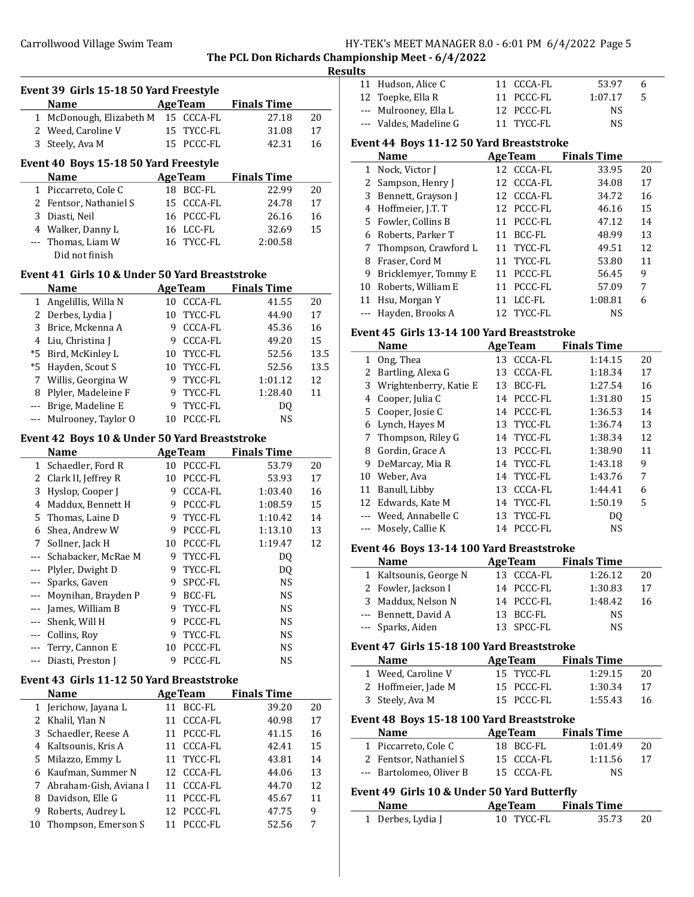Event 39 Girls 15-18 50 Yard Freestyle

# Carrollwood Village Swim Team Team Franch Manager States HY-TEK's MEET MANAGER 8.0 - 6:01 PM 6/4/2022 Page 5

The PCL Don Richards Championship Meet - 6/4/2022

# Results

|                                                                                                                                                                                                                                                                                                                                                                                              | <b>Name</b>                                    |                 | <b>AgeTeam</b> | <b>Finals Time</b> |      |
|----------------------------------------------------------------------------------------------------------------------------------------------------------------------------------------------------------------------------------------------------------------------------------------------------------------------------------------------------------------------------------------------|------------------------------------------------|-----------------|----------------|--------------------|------|
| 1                                                                                                                                                                                                                                                                                                                                                                                            | McDonough, Elizabeth M                         | 15              | CCCA-FL        | 27.18              | 20   |
| 2                                                                                                                                                                                                                                                                                                                                                                                            | Weed, Caroline V                               | 15              | TYCC-FL        | 31.08              | 17   |
| 3                                                                                                                                                                                                                                                                                                                                                                                            | Steely, Ava M                                  |                 | 15 PCCC-FL     | 42.31              | 16   |
|                                                                                                                                                                                                                                                                                                                                                                                              |                                                |                 |                |                    |      |
|                                                                                                                                                                                                                                                                                                                                                                                              | Event 40 Boys 15-18 50 Yard Freestyle          |                 |                |                    |      |
|                                                                                                                                                                                                                                                                                                                                                                                              | <b>Name</b>                                    |                 | <b>AgeTeam</b> | <b>Finals Time</b> |      |
| 1                                                                                                                                                                                                                                                                                                                                                                                            | Piccarreto, Cole C                             |                 | 18 BCC-FL      | 22.99              | 20   |
|                                                                                                                                                                                                                                                                                                                                                                                              | 2 Fentsor, Nathaniel S                         |                 | 15 CCCA-FL     | 24.78              | 17   |
| 3                                                                                                                                                                                                                                                                                                                                                                                            | Diasti, Neil                                   |                 | 16 PCCC-FL     | 26.16              | 16   |
|                                                                                                                                                                                                                                                                                                                                                                                              | 4 Walker, Danny L                              |                 | 16 LCC-FL      | 32.69              | 15   |
|                                                                                                                                                                                                                                                                                                                                                                                              | --- Thomas, Liam W<br>Did not finish           |                 | 16 TYCC-FL     | 2:00.58            |      |
|                                                                                                                                                                                                                                                                                                                                                                                              |                                                |                 |                |                    |      |
|                                                                                                                                                                                                                                                                                                                                                                                              | Event 41 Girls 10 & Under 50 Yard Breaststroke |                 |                |                    |      |
|                                                                                                                                                                                                                                                                                                                                                                                              | <b>Name</b>                                    |                 | <b>AgeTeam</b> | <b>Finals Time</b> |      |
|                                                                                                                                                                                                                                                                                                                                                                                              | 1 Angelillis, Willa N                          | 10              | <b>CCCA-FL</b> | 41.55              | 20   |
|                                                                                                                                                                                                                                                                                                                                                                                              | 2 Derbes, Lydia J                              | 10 <sup>°</sup> | TYCC-FL        | 44.90              | 17   |
| 3                                                                                                                                                                                                                                                                                                                                                                                            | Brice, Mckenna A                               | 9.              | CCCA-FL        | 45.36              | 16   |
| 4                                                                                                                                                                                                                                                                                                                                                                                            | Liu, Christina J                               | 9.              | <b>CCCA-FL</b> | 49.20              | 15   |
| $*5$                                                                                                                                                                                                                                                                                                                                                                                         | Bird, McKinley L                               |                 | 10 TYCC-FL     | 52.56              | 13.5 |
|                                                                                                                                                                                                                                                                                                                                                                                              | *5 Hayden, Scout S                             |                 | 10 TYCC-FL     | 52.56              | 13.5 |
|                                                                                                                                                                                                                                                                                                                                                                                              | 7 Willis, Georgina W                           | 9               | TYCC-FL        | 1:01.12            | 12   |
| 8                                                                                                                                                                                                                                                                                                                                                                                            | Plyler, Madeleine F                            | 9               | TYCC-FL        | 1:28.40            | 11   |
|                                                                                                                                                                                                                                                                                                                                                                                              | --- Brige, Madeline E                          | 9               | TYCC-FL        | DQ                 |      |
|                                                                                                                                                                                                                                                                                                                                                                                              | --- Mulrooney, Taylor O                        | 10              | PCCC-FL        | <b>NS</b>          |      |
|                                                                                                                                                                                                                                                                                                                                                                                              | Event 42 Boys 10 & Under 50 Yard Breaststroke  |                 |                |                    |      |
|                                                                                                                                                                                                                                                                                                                                                                                              | <b>Name</b>                                    |                 | <b>AgeTeam</b> | <b>Finals Time</b> |      |
|                                                                                                                                                                                                                                                                                                                                                                                              | 1 Schaedler, Ford R                            | 10              | PCCC-FL        | 53.79              | 20   |
|                                                                                                                                                                                                                                                                                                                                                                                              | 2 Clark II, Jeffrey R                          | 10 <sup>1</sup> | PCCC-FL        | 53.93              | 17   |
| 3                                                                                                                                                                                                                                                                                                                                                                                            | Hyslop, Cooper J                               | 9               | CCCA-FL        | 1:03.40            | 16   |
| 4                                                                                                                                                                                                                                                                                                                                                                                            | Maddux, Bennett H                              | 9               | PCCC-FL        | 1:08.59            | 15   |
| 5                                                                                                                                                                                                                                                                                                                                                                                            | Thomas, Laine D                                | 9               | TYCC-FL        | 1:10.42            | 14   |
| 6                                                                                                                                                                                                                                                                                                                                                                                            | Shea, Andrew W                                 | 9               | PCCC-FL        | 1:13.10            | 13   |
| 7                                                                                                                                                                                                                                                                                                                                                                                            | Sollner, Jack H                                |                 | 10 PCCC-FL     | 1:19.47            | 12   |
|                                                                                                                                                                                                                                                                                                                                                                                              | --- Schabacker, McRae M                        | 9               | TYCC-FL        | DQ                 |      |
|                                                                                                                                                                                                                                                                                                                                                                                              | --- Plyler, Dwight D                           | 9               | TYCC-FL        | DQ                 |      |
|                                                                                                                                                                                                                                                                                                                                                                                              | --- Sparks, Gaven                              | 9               | SPCC-FL        | <b>NS</b>          |      |
|                                                                                                                                                                                                                                                                                                                                                                                              | --- Moynihan, Brayden P                        | 9               | <b>BCC-FL</b>  | <b>NS</b>          |      |
|                                                                                                                                                                                                                                                                                                                                                                                              | --- James, William B                           | 9               | TYCC-FL        | NS                 |      |
| $\frac{1}{2} \frac{1}{2} \frac{1}{2} \frac{1}{2} \frac{1}{2} \frac{1}{2} \frac{1}{2} \frac{1}{2} \frac{1}{2} \frac{1}{2} \frac{1}{2} \frac{1}{2} \frac{1}{2} \frac{1}{2} \frac{1}{2} \frac{1}{2} \frac{1}{2} \frac{1}{2} \frac{1}{2} \frac{1}{2} \frac{1}{2} \frac{1}{2} \frac{1}{2} \frac{1}{2} \frac{1}{2} \frac{1}{2} \frac{1}{2} \frac{1}{2} \frac{1}{2} \frac{1}{2} \frac{1}{2} \frac{$ | Shenk, Will H                                  | 9               | PCCC-FL        | NS                 |      |
|                                                                                                                                                                                                                                                                                                                                                                                              | --- Collins, Roy                               | 9               | TYCC-FL        | NS                 |      |
| $\qquad \qquad - -$                                                                                                                                                                                                                                                                                                                                                                          | Terry, Cannon E                                | 10              | PCCC-FL        | <b>NS</b>          |      |
|                                                                                                                                                                                                                                                                                                                                                                                              | Diasti, Preston J                              | 9               | PCCC-FL        | NS                 |      |
|                                                                                                                                                                                                                                                                                                                                                                                              | Event 43 Girls 11-12 50 Yard Breaststroke      |                 |                |                    |      |
|                                                                                                                                                                                                                                                                                                                                                                                              | <b>Name</b>                                    |                 | <b>AgeTeam</b> | <b>Finals Time</b> |      |
| 1                                                                                                                                                                                                                                                                                                                                                                                            | Jerichow, Jayana L                             | 11              | BCC-FL         | 39.20              | 20   |
| 2                                                                                                                                                                                                                                                                                                                                                                                            | Khalil, Ylan N                                 | 11              | CCCA-FL        | 40.98              | 17   |
| 3                                                                                                                                                                                                                                                                                                                                                                                            | Schaedler, Reese A                             | 11              | PCCC-FL        | 41.15              | 16   |
| 4                                                                                                                                                                                                                                                                                                                                                                                            | Kaltsounis, Kris A                             | 11              | CCCA-FL        | 42.41              | 15   |
| 5                                                                                                                                                                                                                                                                                                                                                                                            | Milazzo, Emmy L                                | 11              | TYCC-FL        | 43.81              | 14   |
| 6                                                                                                                                                                                                                                                                                                                                                                                            | Kaufman, Summer N                              | 12              | CCCA-FL        | 44.06              | 13   |
| 7                                                                                                                                                                                                                                                                                                                                                                                            | Abraham-Gish, Aviana I                         | 11              | CCCA-FL        | 44.70              | 12   |
| 8                                                                                                                                                                                                                                                                                                                                                                                            | Davidson, Elle G                               | 11              | PCCC-FL        | 45.67              | 11   |
| 9                                                                                                                                                                                                                                                                                                                                                                                            | Roberts, Audrey L                              | 12              | PCCC-FL        | 47.75              | 9    |
| 10                                                                                                                                                                                                                                                                                                                                                                                           | Thompson, Emerson S                            | 11              | PCCC-FL        | 52.56              | 7    |
|                                                                                                                                                                                                                                                                                                                                                                                              |                                                |                 |                |                    |      |

| 11 Hudson, Alice C     | 11 CCCA-FL | 53.97   | h  |  |
|------------------------|------------|---------|----|--|
| 12 Toepke, Ella R      | 11 PCCC-FL | 1:07.17 | -5 |  |
| --- Mulrooney, Ella L  | 12 PCCC-FL | NS      |    |  |
| --- Valdes, Madeline G | 11 TYCC-FL | NS      |    |  |

### Event 44 Boys 11-12 50 Yard Breaststroke

|   | <b>Name</b>            | <b>AgeTeam</b> | <b>Finals Time</b> |    |
|---|------------------------|----------------|--------------------|----|
|   | 1 Nock, Victor J       | 12 CCCA-FL     | 33.95              | 20 |
|   | 2 Sampson, Henry J     | 12 CCCA-FL     | 34.08              | 17 |
|   | 3 Bennett, Grayson J   | 12 CCCA-FL     | 34.72              | 16 |
|   | 4 Hoffmeier, J.T. T    | 12 PCCC-FL     | 46.16              | 15 |
|   | 5 Fowler, Collins B    | 11 PCCC-FL     | 47.12              | 14 |
|   | 6 Roberts, Parker T    | 11 BCC-FL      | 48.99              | 13 |
|   | 7 Thompson, Crawford L | 11 TYCC-FL     | 49.51              | 12 |
| 8 | Fraser, Cord M         | 11 TYCC-FL     | 53.80              | 11 |
| 9 | Bricklemyer, Tommy E   | PCCC-FL<br>11  | 56.45              | 9  |
|   | 10 Roberts, William E  | PCCC-FL<br>11  | 57.09              | 7  |
|   | 11 Hsu, Morgan Y       | LCC-FL<br>11   | 1:08.81            | 6  |
|   | --- Hayden, Brooks A   | 12 TYCC-FL     | NS                 |    |

#### Event 45 Girls 13-14 100 Yard Breaststroke

|    | <b>Name</b>            |     | <b>AgeTeam</b> | <b>Finals Time</b> |    |
|----|------------------------|-----|----------------|--------------------|----|
| 1  | Ong, Thea              | 13  | CCCA-FL        | 1:14.15            | 20 |
| 2  | Bartling, Alexa G      | 13  | CCCA-FL        | 1:18.34            | 17 |
| 3  | Wrightenberry, Katie E | 13  | BCC-FL         | 1:27.54            | 16 |
| 4  | Cooper, Julia C        | 14  | PCCC-FL        | 1:31.80            | 15 |
|    | 5 Cooper, Josie C      | 14  | PCCC-FL        | 1:36.53            | 14 |
| 6  | Lynch, Hayes M         | 13  | TYCC-FL        | 1:36.74            | 13 |
|    | 7 Thompson, Riley G    | 14  | TYCC-FL        | 1:38.34            | 12 |
| 8  | Gordin, Grace A        | 13. | PCCC-FL        | 1:38.90            | 11 |
| 9  | DeMarcay, Mia R        |     | 14 TYCC-FL     | 1:43.18            | 9  |
| 10 | Weber, Ava             |     | 14 TYCC-FL     | 1:43.76            | 7  |
| 11 | Banull, Libby          | 13  | CCCA-FL        | 1:44.41            | 6  |
|    | 12 Edwards, Kate M     |     | 14 TYCC-FL     | 1:50.19            | 5  |
|    | Weed, Annabelle C      |     | 13 TYCC-FL     | DO.                |    |
|    | Mosely, Callie K       | 14  | PCCC-FL        | NS                 |    |

# Event 46 Boys 13-14 100 Yard Breaststroke

| <b>Name</b>            | <b>AgeTeam</b> | <b>Finals Time</b> |    |
|------------------------|----------------|--------------------|----|
| 1 Kaltsounis, George N | 13 CCCA-FL     | 1:26.12            | 20 |
| 2 Fowler, Jackson I    | 14 PCCC-FL     | 1:30.83            | 17 |
| 3 Maddux, Nelson N     | 14 PCCC-FL     | 1:48.42            | 16 |
| --- Bennett, David A   | 13 BCC-FL      | NS                 |    |
| --- Sparks, Aiden      | 13 SPCC-FL     | ΝS                 |    |

#### Event 47 Girls 15-18 100 Yard Breaststroke

| <b>Name</b>         | <b>AgeTeam</b> | <b>Finals Time</b> |    |
|---------------------|----------------|--------------------|----|
| 1 Weed, Caroline V  | 15 TYCC-FL     | 1:29.15            | 20 |
| 2 Hoffmeier, Jade M | 15 PCCC-FL     | 1:30.34            | 17 |
| 3 Steely, Ava M     | 15 PCCC-FL     | 1:55.43            | 16 |

### Event 48 Boys 15-18 100 Yard Breaststroke

| <b>Name</b>              | <b>AgeTeam</b> | <b>Finals Time</b> |    |
|--------------------------|----------------|--------------------|----|
| 1 Piccarreto, Cole C     | 18 BCC-FL      | 1:01.49            | 20 |
| 2 Fentsor, Nathaniel S   | 15 CCCA-FL     | 1:11.56            | 17 |
| --- Bartolomeo, Oliver B | 15 CCCA-FL     | NS.                |    |

## Event 49 Girls 10 & Under 50 Yard Butterfly

| <b>Name</b>       | <b>AgeTeam</b> | <b>Finals Time</b> |    |
|-------------------|----------------|--------------------|----|
| 1 Derbes, Lydia J | 10 TYCC-FL     | 35.73              | 20 |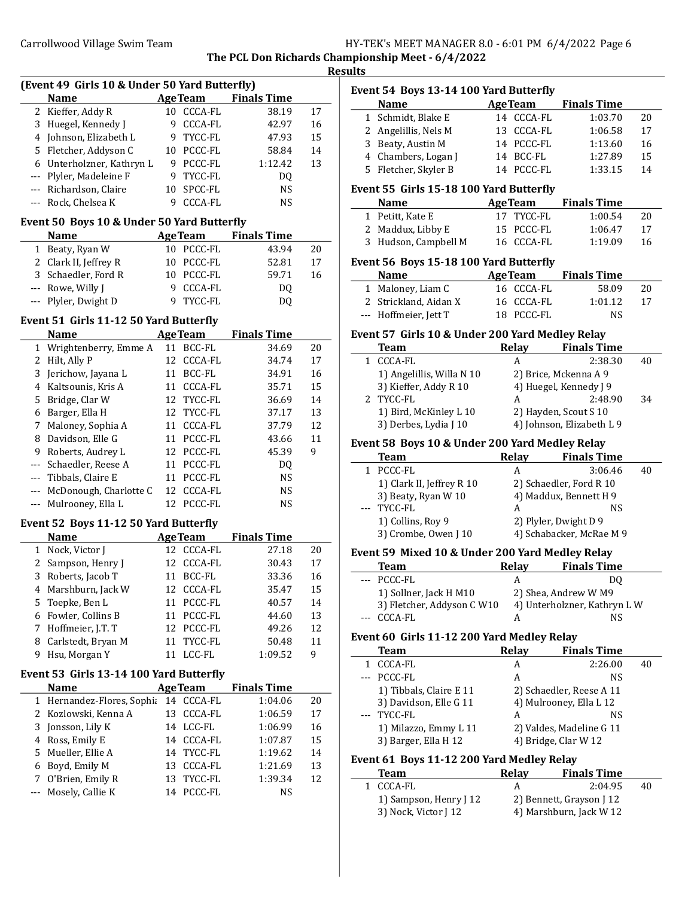| HY-TEK's MEET MANAGER 8.0 - 6:01 PM 6/4/2022 Page 6 |  |  |  |
|-----------------------------------------------------|--|--|--|
|-----------------------------------------------------|--|--|--|

The PCL Don Richards Championship Meet - 6/4/2022

|               | (Event 49 Girls 10 & Under 50 Yard Butterfly)        |    |                          |                            |         |
|---------------|------------------------------------------------------|----|--------------------------|----------------------------|---------|
|               | <b>Name</b>                                          |    | <b>AgeTeam</b>           | <b>Finals Time</b>         |         |
|               | 2 Kieffer, Addy R                                    |    | 10 CCCA-FL               | 38.19                      | 17      |
| 3             | Huegel, Kennedy J                                    |    | 9 CCCA-FL                | 42.97                      | 16      |
|               | 4 Johnson, Elizabeth L                               |    | 9 TYCC-FL                | 47.93                      | 15      |
|               | 5 Fletcher, Addyson C                                |    | 10 PCCC-FL               | 58.84                      | 14      |
|               | 6 Unterholzner, Kathryn L                            |    | 9 PCCC-FL                | 1:12.42                    | 13      |
|               | --- Plyler, Madeleine F                              |    | 9 TYCC-FL                | DQ                         |         |
|               | --- Richardson, Claire                               |    | 10 SPCC-FL               | <b>NS</b>                  |         |
|               | --- Rock, Chelsea K                                  |    | 9 CCCA-FL                | <b>NS</b>                  |         |
|               | Event 50 Boys 10 & Under 50 Yard Butterfly           |    |                          |                            |         |
|               | <b>Name</b>                                          |    |                          | <b>AgeTeam</b> Finals Time |         |
|               | 1 Beaty, Ryan W                                      |    | 10 PCCC-FL               | 43.94                      | 20      |
|               | 2 Clark II, Jeffrey R                                |    | 10 PCCC-FL               | 52.81                      | 17      |
|               | 3 Schaedler, Ford R                                  |    | 10 PCCC-FL               | 59.71                      | 16      |
|               | --- Rowe, Willy J                                    |    | 9 CCCA-FL                | DQ                         |         |
|               | --- Plyler, Dwight D                                 |    | 9 TYCC-FL                | DQ                         |         |
|               | Event 51 Girls 11-12 50 Yard Butterfly               |    |                          |                            |         |
|               | <b>Name</b>                                          |    | <b>AgeTeam</b>           | <b>Finals Time</b>         |         |
|               | 1 Wrightenberry, Emme A                              |    | 11 BCC-FL                | 34.69                      | 20      |
|               | 2 Hilt, Ally P                                       |    | 12 CCCA-FL               | 34.74                      | 17      |
|               | 3 Jerichow, Jayana L                                 |    | 11 BCC-FL                | 34.91                      | 16      |
|               | 4 Kaltsounis, Kris A                                 |    | 11 CCCA-FL               | 35.71                      | 15      |
|               | 5 Bridge, Clar W                                     |    | 12 TYCC-FL               | 36.69                      | 14      |
|               | 6 Barger, Ella H                                     |    | 12 TYCC-FL               | 37.17                      | 13      |
| 7             | Maloney, Sophia A                                    |    | 11 CCCA-FL               | 37.79                      | 12      |
|               | 8 Davidson, Elle G                                   |    | 11 PCCC-FL               | 43.66                      | 11      |
| 9             | Roberts, Audrey L                                    |    | 12 PCCC-FL               | 45.39                      | 9       |
| $\frac{1}{2}$ | Schaedler, Reese A                                   |    | 11 PCCC-FL               |                            |         |
|               |                                                      |    | 11 PCCC-FL               | DQ<br><b>NS</b>            |         |
| $\cdots$      | Tibbals, Claire E                                    |    |                          |                            |         |
| $--$<br>---   | McDonough, Charlotte C<br>Mulrooney, Ella L          |    | 12 CCCA-FL<br>12 PCCC-FL | <b>NS</b><br><b>NS</b>     |         |
|               |                                                      |    |                          |                            |         |
|               | Event 52 Boys 11-12 50 Yard Butterfly<br><b>Name</b> |    | <b>Age Team</b>          | <b>Finals Time</b>         |         |
|               | 1 Nock, Victor J                                     |    | 12 CCCA-FL               | 27.18                      | 20      |
|               | 2 Sampson, Henry J                                   |    | 12 CCCA-FL               | 30.43                      | 17      |
|               | 3 Roberts, Jacob T                                   |    | 11 BCC-FL                | 33.36                      | 16      |
| 4             | Marshburn, Jack W                                    |    | 12 CCCA-FL               | 35.47                      | 15      |
| 5.            | Toepke, Ben L                                        | 11 | PCCC-FL                  | 40.57                      | 14      |
|               | Fowler, Collins B                                    |    |                          |                            |         |
| 6             |                                                      | 11 | PCCC-FL                  | 44.60                      | 13      |
| 7             | Hoffmeier, J.T. T                                    |    | 12 PCCC-FL               | 49.26                      | 12      |
| 8<br>9        | Carlstedt, Bryan M<br>Hsu, Morgan Y                  | 11 | TYCC-FL<br>11 LCC-FL     | 50.48<br>1:09.52           | 11<br>9 |
|               |                                                      |    |                          |                            |         |
|               | Event 53 Girls 13-14 100 Yard Butterfly              |    |                          |                            |         |
|               | <b>Name</b>                                          |    | <b>AgeTeam</b>           | <b>Finals Time</b>         |         |
| 1             | Hernandez-Flores, Sophia                             | 14 | CCCA-FL                  | 1:04.06                    | 20      |
|               | Kozlowski, Kenna A                                   | 13 | <b>CCCA-FL</b>           | 1:06.59                    | 17      |
| 2             |                                                      |    | LCC-FL                   | 1:06.99                    | 16      |
| 3             | Jonsson, Lily K                                      | 14 |                          |                            |         |
| 4             | Ross, Emily E                                        |    | 14 CCCA-FL               | 1:07.87                    | 15      |
| 5             | Mueller, Ellie A                                     |    | 14 TYCC-FL               | 1:19.62                    | 14      |
| 6             | Boyd, Emily M                                        |    | 13 CCCA-FL               | 1:21.69                    | 13      |
| 7             | O'Brien, Emily R<br>Mosely, Callie K                 |    | 13 TYCC-FL<br>14 PCCC-FL | 1:39.34                    | 12      |

| <b>AgeTeam</b><br>Name<br><b>Finals Time</b><br>14 CCCA-FL<br>1 Schmidt, Blake E<br>1:03.70<br>20<br>2 Angelillis, Nels M<br>13 CCCA-FL<br>1:06.58<br>17<br>3 Beaty, Austin M<br>14 PCCC-FL<br>1:13.60<br>16<br>4 Chambers, Logan J<br>14 BCC-FL<br>15<br>1:27.89<br>5 Fletcher, Skyler B<br>14 PCCC-FL<br>1:33.15<br>14<br>Event 55 Girls 15-18 100 Yard Butterfly<br><b>Finals Time</b><br>Name<br><b>AgeTeam</b><br>17 TYCC-FL<br>1 Petitt, Kate E<br>1:00.54<br>20<br>2 Maddux, Libby E<br>15 PCCC-FL<br>1:06.47<br>17<br>3 Hudson, Campbell M<br>16 CCCA-FL<br>1:19.09<br>16<br>Event 56 Boys 15-18 100 Yard Butterfly<br><b>Name</b><br><b>AgeTeam</b> Finals Time<br>1 Maloney, Liam C<br>16 CCCA-FL<br>58.09<br>20<br>2 Strickland, Aidan X<br>16 CCCA-FL<br>1:01.12<br>17<br>--- Hoffmeier, Jett T<br>18 PCCC-FL<br>NS<br>Event 57 Girls 10 & Under 200 Yard Medley Relay<br>Relay Finals Time<br><b>Team</b><br>1 CCCA-FL<br>2:38.30<br>A<br>40<br>1) Angelillis, Willa N 10<br>2) Brice, Mckenna A 9<br>3) Kieffer, Addy R 10<br>4) Huegel, Kennedy J 9<br>2 TYCC-FL<br>2:48.90<br>A<br>34<br>1) Bird, McKinley L 10<br>2) Hayden, Scout S 10<br>3) Derbes, Lydia J 10<br>4) Johnson, Elizabeth L 9<br>Event 58 Boys 10 & Under 200 Yard Medley Relay<br>Relay Finals Time<br><b>Team</b><br>1 PCCC-FL<br>A<br>3:06.46<br>40<br>1) Clark II, Jeffrey R 10<br>2) Schaedler, Ford R 10<br>4) Maddux, Bennett H 9<br>3) Beaty, Ryan W 10<br>--- TYCC-FL<br>NS<br>A<br>2) Plyler, Dwight D 9<br>1) Collins, Roy 9<br>3) Crombe, Owen J 10<br>4) Schabacker, McRae M 9<br>Event 59 Mixed 10 & Under 200 Yard Medley Relay<br>Relay<br><b>Finals Time</b><br><b>Team</b><br>--- PCCC-FL<br>A<br>DQ<br>1) Sollner, Jack H M10<br>2) Shea, Andrew W M9<br>3) Fletcher, Addyson C W10<br>4) Unterholzner, Kathryn LW<br><b>CCCA-FL</b><br>NS<br>A<br>Event 60 Girls 11-12 200 Yard Medley Relay<br><b>Relay</b><br><b>Finals Time</b><br>Team<br>CCCA-FL<br>1<br>A<br>2:26.00<br>40<br>PCCC-FL<br>A<br>---<br>NS<br>1) Tibbals, Claire E 11<br>2) Schaedler, Reese A 11<br>3) Davidson, Elle G 11<br>4) Mulrooney, Ella L 12<br>TYCC-FL<br>A<br>NS<br>1) Milazzo, Emmy L 11<br>2) Valdes, Madeline G 11<br>3) Barger, Ella H 12<br>4) Bridge, Clar W 12<br>Event 61 Boys 11-12 200 Yard Medley Relay<br><b>Relay</b><br><b>Team</b><br><b>Finals Time</b><br>CCCA-FL<br>A<br>2:04.95<br>1<br>40<br>1) Sampson, Henry J 12<br>2) Bennett, Grayson J 12<br>3) Nock, Victor J 12<br>4) Marshburn, Jack W 12 | Event 54 Boys 13-14 100 Yard Butterfly |  |  |
|------------------------------------------------------------------------------------------------------------------------------------------------------------------------------------------------------------------------------------------------------------------------------------------------------------------------------------------------------------------------------------------------------------------------------------------------------------------------------------------------------------------------------------------------------------------------------------------------------------------------------------------------------------------------------------------------------------------------------------------------------------------------------------------------------------------------------------------------------------------------------------------------------------------------------------------------------------------------------------------------------------------------------------------------------------------------------------------------------------------------------------------------------------------------------------------------------------------------------------------------------------------------------------------------------------------------------------------------------------------------------------------------------------------------------------------------------------------------------------------------------------------------------------------------------------------------------------------------------------------------------------------------------------------------------------------------------------------------------------------------------------------------------------------------------------------------------------------------------------------------------------------------------------------------------------------------------------------------------------------------------------------------------------------------------------------------------------------------------------------------------------------------------------------------------------------------------------------------------------------------------------------------------------------------------------------------------------------------------------------------------------------------------------------------------------------------------------------------------------------------------------|----------------------------------------|--|--|
|                                                                                                                                                                                                                                                                                                                                                                                                                                                                                                                                                                                                                                                                                                                                                                                                                                                                                                                                                                                                                                                                                                                                                                                                                                                                                                                                                                                                                                                                                                                                                                                                                                                                                                                                                                                                                                                                                                                                                                                                                                                                                                                                                                                                                                                                                                                                                                                                                                                                                                            |                                        |  |  |
|                                                                                                                                                                                                                                                                                                                                                                                                                                                                                                                                                                                                                                                                                                                                                                                                                                                                                                                                                                                                                                                                                                                                                                                                                                                                                                                                                                                                                                                                                                                                                                                                                                                                                                                                                                                                                                                                                                                                                                                                                                                                                                                                                                                                                                                                                                                                                                                                                                                                                                            |                                        |  |  |
|                                                                                                                                                                                                                                                                                                                                                                                                                                                                                                                                                                                                                                                                                                                                                                                                                                                                                                                                                                                                                                                                                                                                                                                                                                                                                                                                                                                                                                                                                                                                                                                                                                                                                                                                                                                                                                                                                                                                                                                                                                                                                                                                                                                                                                                                                                                                                                                                                                                                                                            |                                        |  |  |
|                                                                                                                                                                                                                                                                                                                                                                                                                                                                                                                                                                                                                                                                                                                                                                                                                                                                                                                                                                                                                                                                                                                                                                                                                                                                                                                                                                                                                                                                                                                                                                                                                                                                                                                                                                                                                                                                                                                                                                                                                                                                                                                                                                                                                                                                                                                                                                                                                                                                                                            |                                        |  |  |
|                                                                                                                                                                                                                                                                                                                                                                                                                                                                                                                                                                                                                                                                                                                                                                                                                                                                                                                                                                                                                                                                                                                                                                                                                                                                                                                                                                                                                                                                                                                                                                                                                                                                                                                                                                                                                                                                                                                                                                                                                                                                                                                                                                                                                                                                                                                                                                                                                                                                                                            |                                        |  |  |
|                                                                                                                                                                                                                                                                                                                                                                                                                                                                                                                                                                                                                                                                                                                                                                                                                                                                                                                                                                                                                                                                                                                                                                                                                                                                                                                                                                                                                                                                                                                                                                                                                                                                                                                                                                                                                                                                                                                                                                                                                                                                                                                                                                                                                                                                                                                                                                                                                                                                                                            |                                        |  |  |
|                                                                                                                                                                                                                                                                                                                                                                                                                                                                                                                                                                                                                                                                                                                                                                                                                                                                                                                                                                                                                                                                                                                                                                                                                                                                                                                                                                                                                                                                                                                                                                                                                                                                                                                                                                                                                                                                                                                                                                                                                                                                                                                                                                                                                                                                                                                                                                                                                                                                                                            |                                        |  |  |
|                                                                                                                                                                                                                                                                                                                                                                                                                                                                                                                                                                                                                                                                                                                                                                                                                                                                                                                                                                                                                                                                                                                                                                                                                                                                                                                                                                                                                                                                                                                                                                                                                                                                                                                                                                                                                                                                                                                                                                                                                                                                                                                                                                                                                                                                                                                                                                                                                                                                                                            |                                        |  |  |
|                                                                                                                                                                                                                                                                                                                                                                                                                                                                                                                                                                                                                                                                                                                                                                                                                                                                                                                                                                                                                                                                                                                                                                                                                                                                                                                                                                                                                                                                                                                                                                                                                                                                                                                                                                                                                                                                                                                                                                                                                                                                                                                                                                                                                                                                                                                                                                                                                                                                                                            |                                        |  |  |
|                                                                                                                                                                                                                                                                                                                                                                                                                                                                                                                                                                                                                                                                                                                                                                                                                                                                                                                                                                                                                                                                                                                                                                                                                                                                                                                                                                                                                                                                                                                                                                                                                                                                                                                                                                                                                                                                                                                                                                                                                                                                                                                                                                                                                                                                                                                                                                                                                                                                                                            |                                        |  |  |
|                                                                                                                                                                                                                                                                                                                                                                                                                                                                                                                                                                                                                                                                                                                                                                                                                                                                                                                                                                                                                                                                                                                                                                                                                                                                                                                                                                                                                                                                                                                                                                                                                                                                                                                                                                                                                                                                                                                                                                                                                                                                                                                                                                                                                                                                                                                                                                                                                                                                                                            |                                        |  |  |
|                                                                                                                                                                                                                                                                                                                                                                                                                                                                                                                                                                                                                                                                                                                                                                                                                                                                                                                                                                                                                                                                                                                                                                                                                                                                                                                                                                                                                                                                                                                                                                                                                                                                                                                                                                                                                                                                                                                                                                                                                                                                                                                                                                                                                                                                                                                                                                                                                                                                                                            |                                        |  |  |
|                                                                                                                                                                                                                                                                                                                                                                                                                                                                                                                                                                                                                                                                                                                                                                                                                                                                                                                                                                                                                                                                                                                                                                                                                                                                                                                                                                                                                                                                                                                                                                                                                                                                                                                                                                                                                                                                                                                                                                                                                                                                                                                                                                                                                                                                                                                                                                                                                                                                                                            |                                        |  |  |
|                                                                                                                                                                                                                                                                                                                                                                                                                                                                                                                                                                                                                                                                                                                                                                                                                                                                                                                                                                                                                                                                                                                                                                                                                                                                                                                                                                                                                                                                                                                                                                                                                                                                                                                                                                                                                                                                                                                                                                                                                                                                                                                                                                                                                                                                                                                                                                                                                                                                                                            |                                        |  |  |
|                                                                                                                                                                                                                                                                                                                                                                                                                                                                                                                                                                                                                                                                                                                                                                                                                                                                                                                                                                                                                                                                                                                                                                                                                                                                                                                                                                                                                                                                                                                                                                                                                                                                                                                                                                                                                                                                                                                                                                                                                                                                                                                                                                                                                                                                                                                                                                                                                                                                                                            |                                        |  |  |
|                                                                                                                                                                                                                                                                                                                                                                                                                                                                                                                                                                                                                                                                                                                                                                                                                                                                                                                                                                                                                                                                                                                                                                                                                                                                                                                                                                                                                                                                                                                                                                                                                                                                                                                                                                                                                                                                                                                                                                                                                                                                                                                                                                                                                                                                                                                                                                                                                                                                                                            |                                        |  |  |
|                                                                                                                                                                                                                                                                                                                                                                                                                                                                                                                                                                                                                                                                                                                                                                                                                                                                                                                                                                                                                                                                                                                                                                                                                                                                                                                                                                                                                                                                                                                                                                                                                                                                                                                                                                                                                                                                                                                                                                                                                                                                                                                                                                                                                                                                                                                                                                                                                                                                                                            |                                        |  |  |
|                                                                                                                                                                                                                                                                                                                                                                                                                                                                                                                                                                                                                                                                                                                                                                                                                                                                                                                                                                                                                                                                                                                                                                                                                                                                                                                                                                                                                                                                                                                                                                                                                                                                                                                                                                                                                                                                                                                                                                                                                                                                                                                                                                                                                                                                                                                                                                                                                                                                                                            |                                        |  |  |
|                                                                                                                                                                                                                                                                                                                                                                                                                                                                                                                                                                                                                                                                                                                                                                                                                                                                                                                                                                                                                                                                                                                                                                                                                                                                                                                                                                                                                                                                                                                                                                                                                                                                                                                                                                                                                                                                                                                                                                                                                                                                                                                                                                                                                                                                                                                                                                                                                                                                                                            |                                        |  |  |
|                                                                                                                                                                                                                                                                                                                                                                                                                                                                                                                                                                                                                                                                                                                                                                                                                                                                                                                                                                                                                                                                                                                                                                                                                                                                                                                                                                                                                                                                                                                                                                                                                                                                                                                                                                                                                                                                                                                                                                                                                                                                                                                                                                                                                                                                                                                                                                                                                                                                                                            |                                        |  |  |
|                                                                                                                                                                                                                                                                                                                                                                                                                                                                                                                                                                                                                                                                                                                                                                                                                                                                                                                                                                                                                                                                                                                                                                                                                                                                                                                                                                                                                                                                                                                                                                                                                                                                                                                                                                                                                                                                                                                                                                                                                                                                                                                                                                                                                                                                                                                                                                                                                                                                                                            |                                        |  |  |
|                                                                                                                                                                                                                                                                                                                                                                                                                                                                                                                                                                                                                                                                                                                                                                                                                                                                                                                                                                                                                                                                                                                                                                                                                                                                                                                                                                                                                                                                                                                                                                                                                                                                                                                                                                                                                                                                                                                                                                                                                                                                                                                                                                                                                                                                                                                                                                                                                                                                                                            |                                        |  |  |
|                                                                                                                                                                                                                                                                                                                                                                                                                                                                                                                                                                                                                                                                                                                                                                                                                                                                                                                                                                                                                                                                                                                                                                                                                                                                                                                                                                                                                                                                                                                                                                                                                                                                                                                                                                                                                                                                                                                                                                                                                                                                                                                                                                                                                                                                                                                                                                                                                                                                                                            |                                        |  |  |
|                                                                                                                                                                                                                                                                                                                                                                                                                                                                                                                                                                                                                                                                                                                                                                                                                                                                                                                                                                                                                                                                                                                                                                                                                                                                                                                                                                                                                                                                                                                                                                                                                                                                                                                                                                                                                                                                                                                                                                                                                                                                                                                                                                                                                                                                                                                                                                                                                                                                                                            |                                        |  |  |
|                                                                                                                                                                                                                                                                                                                                                                                                                                                                                                                                                                                                                                                                                                                                                                                                                                                                                                                                                                                                                                                                                                                                                                                                                                                                                                                                                                                                                                                                                                                                                                                                                                                                                                                                                                                                                                                                                                                                                                                                                                                                                                                                                                                                                                                                                                                                                                                                                                                                                                            |                                        |  |  |
|                                                                                                                                                                                                                                                                                                                                                                                                                                                                                                                                                                                                                                                                                                                                                                                                                                                                                                                                                                                                                                                                                                                                                                                                                                                                                                                                                                                                                                                                                                                                                                                                                                                                                                                                                                                                                                                                                                                                                                                                                                                                                                                                                                                                                                                                                                                                                                                                                                                                                                            |                                        |  |  |
|                                                                                                                                                                                                                                                                                                                                                                                                                                                                                                                                                                                                                                                                                                                                                                                                                                                                                                                                                                                                                                                                                                                                                                                                                                                                                                                                                                                                                                                                                                                                                                                                                                                                                                                                                                                                                                                                                                                                                                                                                                                                                                                                                                                                                                                                                                                                                                                                                                                                                                            |                                        |  |  |
|                                                                                                                                                                                                                                                                                                                                                                                                                                                                                                                                                                                                                                                                                                                                                                                                                                                                                                                                                                                                                                                                                                                                                                                                                                                                                                                                                                                                                                                                                                                                                                                                                                                                                                                                                                                                                                                                                                                                                                                                                                                                                                                                                                                                                                                                                                                                                                                                                                                                                                            |                                        |  |  |
|                                                                                                                                                                                                                                                                                                                                                                                                                                                                                                                                                                                                                                                                                                                                                                                                                                                                                                                                                                                                                                                                                                                                                                                                                                                                                                                                                                                                                                                                                                                                                                                                                                                                                                                                                                                                                                                                                                                                                                                                                                                                                                                                                                                                                                                                                                                                                                                                                                                                                                            |                                        |  |  |
|                                                                                                                                                                                                                                                                                                                                                                                                                                                                                                                                                                                                                                                                                                                                                                                                                                                                                                                                                                                                                                                                                                                                                                                                                                                                                                                                                                                                                                                                                                                                                                                                                                                                                                                                                                                                                                                                                                                                                                                                                                                                                                                                                                                                                                                                                                                                                                                                                                                                                                            |                                        |  |  |
|                                                                                                                                                                                                                                                                                                                                                                                                                                                                                                                                                                                                                                                                                                                                                                                                                                                                                                                                                                                                                                                                                                                                                                                                                                                                                                                                                                                                                                                                                                                                                                                                                                                                                                                                                                                                                                                                                                                                                                                                                                                                                                                                                                                                                                                                                                                                                                                                                                                                                                            |                                        |  |  |
|                                                                                                                                                                                                                                                                                                                                                                                                                                                                                                                                                                                                                                                                                                                                                                                                                                                                                                                                                                                                                                                                                                                                                                                                                                                                                                                                                                                                                                                                                                                                                                                                                                                                                                                                                                                                                                                                                                                                                                                                                                                                                                                                                                                                                                                                                                                                                                                                                                                                                                            |                                        |  |  |
|                                                                                                                                                                                                                                                                                                                                                                                                                                                                                                                                                                                                                                                                                                                                                                                                                                                                                                                                                                                                                                                                                                                                                                                                                                                                                                                                                                                                                                                                                                                                                                                                                                                                                                                                                                                                                                                                                                                                                                                                                                                                                                                                                                                                                                                                                                                                                                                                                                                                                                            |                                        |  |  |
|                                                                                                                                                                                                                                                                                                                                                                                                                                                                                                                                                                                                                                                                                                                                                                                                                                                                                                                                                                                                                                                                                                                                                                                                                                                                                                                                                                                                                                                                                                                                                                                                                                                                                                                                                                                                                                                                                                                                                                                                                                                                                                                                                                                                                                                                                                                                                                                                                                                                                                            |                                        |  |  |
|                                                                                                                                                                                                                                                                                                                                                                                                                                                                                                                                                                                                                                                                                                                                                                                                                                                                                                                                                                                                                                                                                                                                                                                                                                                                                                                                                                                                                                                                                                                                                                                                                                                                                                                                                                                                                                                                                                                                                                                                                                                                                                                                                                                                                                                                                                                                                                                                                                                                                                            |                                        |  |  |
|                                                                                                                                                                                                                                                                                                                                                                                                                                                                                                                                                                                                                                                                                                                                                                                                                                                                                                                                                                                                                                                                                                                                                                                                                                                                                                                                                                                                                                                                                                                                                                                                                                                                                                                                                                                                                                                                                                                                                                                                                                                                                                                                                                                                                                                                                                                                                                                                                                                                                                            |                                        |  |  |
|                                                                                                                                                                                                                                                                                                                                                                                                                                                                                                                                                                                                                                                                                                                                                                                                                                                                                                                                                                                                                                                                                                                                                                                                                                                                                                                                                                                                                                                                                                                                                                                                                                                                                                                                                                                                                                                                                                                                                                                                                                                                                                                                                                                                                                                                                                                                                                                                                                                                                                            |                                        |  |  |
|                                                                                                                                                                                                                                                                                                                                                                                                                                                                                                                                                                                                                                                                                                                                                                                                                                                                                                                                                                                                                                                                                                                                                                                                                                                                                                                                                                                                                                                                                                                                                                                                                                                                                                                                                                                                                                                                                                                                                                                                                                                                                                                                                                                                                                                                                                                                                                                                                                                                                                            |                                        |  |  |
|                                                                                                                                                                                                                                                                                                                                                                                                                                                                                                                                                                                                                                                                                                                                                                                                                                                                                                                                                                                                                                                                                                                                                                                                                                                                                                                                                                                                                                                                                                                                                                                                                                                                                                                                                                                                                                                                                                                                                                                                                                                                                                                                                                                                                                                                                                                                                                                                                                                                                                            |                                        |  |  |
|                                                                                                                                                                                                                                                                                                                                                                                                                                                                                                                                                                                                                                                                                                                                                                                                                                                                                                                                                                                                                                                                                                                                                                                                                                                                                                                                                                                                                                                                                                                                                                                                                                                                                                                                                                                                                                                                                                                                                                                                                                                                                                                                                                                                                                                                                                                                                                                                                                                                                                            |                                        |  |  |
|                                                                                                                                                                                                                                                                                                                                                                                                                                                                                                                                                                                                                                                                                                                                                                                                                                                                                                                                                                                                                                                                                                                                                                                                                                                                                                                                                                                                                                                                                                                                                                                                                                                                                                                                                                                                                                                                                                                                                                                                                                                                                                                                                                                                                                                                                                                                                                                                                                                                                                            |                                        |  |  |
|                                                                                                                                                                                                                                                                                                                                                                                                                                                                                                                                                                                                                                                                                                                                                                                                                                                                                                                                                                                                                                                                                                                                                                                                                                                                                                                                                                                                                                                                                                                                                                                                                                                                                                                                                                                                                                                                                                                                                                                                                                                                                                                                                                                                                                                                                                                                                                                                                                                                                                            |                                        |  |  |
|                                                                                                                                                                                                                                                                                                                                                                                                                                                                                                                                                                                                                                                                                                                                                                                                                                                                                                                                                                                                                                                                                                                                                                                                                                                                                                                                                                                                                                                                                                                                                                                                                                                                                                                                                                                                                                                                                                                                                                                                                                                                                                                                                                                                                                                                                                                                                                                                                                                                                                            |                                        |  |  |
|                                                                                                                                                                                                                                                                                                                                                                                                                                                                                                                                                                                                                                                                                                                                                                                                                                                                                                                                                                                                                                                                                                                                                                                                                                                                                                                                                                                                                                                                                                                                                                                                                                                                                                                                                                                                                                                                                                                                                                                                                                                                                                                                                                                                                                                                                                                                                                                                                                                                                                            |                                        |  |  |
|                                                                                                                                                                                                                                                                                                                                                                                                                                                                                                                                                                                                                                                                                                                                                                                                                                                                                                                                                                                                                                                                                                                                                                                                                                                                                                                                                                                                                                                                                                                                                                                                                                                                                                                                                                                                                                                                                                                                                                                                                                                                                                                                                                                                                                                                                                                                                                                                                                                                                                            |                                        |  |  |
|                                                                                                                                                                                                                                                                                                                                                                                                                                                                                                                                                                                                                                                                                                                                                                                                                                                                                                                                                                                                                                                                                                                                                                                                                                                                                                                                                                                                                                                                                                                                                                                                                                                                                                                                                                                                                                                                                                                                                                                                                                                                                                                                                                                                                                                                                                                                                                                                                                                                                                            |                                        |  |  |
|                                                                                                                                                                                                                                                                                                                                                                                                                                                                                                                                                                                                                                                                                                                                                                                                                                                                                                                                                                                                                                                                                                                                                                                                                                                                                                                                                                                                                                                                                                                                                                                                                                                                                                                                                                                                                                                                                                                                                                                                                                                                                                                                                                                                                                                                                                                                                                                                                                                                                                            |                                        |  |  |
|                                                                                                                                                                                                                                                                                                                                                                                                                                                                                                                                                                                                                                                                                                                                                                                                                                                                                                                                                                                                                                                                                                                                                                                                                                                                                                                                                                                                                                                                                                                                                                                                                                                                                                                                                                                                                                                                                                                                                                                                                                                                                                                                                                                                                                                                                                                                                                                                                                                                                                            |                                        |  |  |
|                                                                                                                                                                                                                                                                                                                                                                                                                                                                                                                                                                                                                                                                                                                                                                                                                                                                                                                                                                                                                                                                                                                                                                                                                                                                                                                                                                                                                                                                                                                                                                                                                                                                                                                                                                                                                                                                                                                                                                                                                                                                                                                                                                                                                                                                                                                                                                                                                                                                                                            |                                        |  |  |
|                                                                                                                                                                                                                                                                                                                                                                                                                                                                                                                                                                                                                                                                                                                                                                                                                                                                                                                                                                                                                                                                                                                                                                                                                                                                                                                                                                                                                                                                                                                                                                                                                                                                                                                                                                                                                                                                                                                                                                                                                                                                                                                                                                                                                                                                                                                                                                                                                                                                                                            |                                        |  |  |
|                                                                                                                                                                                                                                                                                                                                                                                                                                                                                                                                                                                                                                                                                                                                                                                                                                                                                                                                                                                                                                                                                                                                                                                                                                                                                                                                                                                                                                                                                                                                                                                                                                                                                                                                                                                                                                                                                                                                                                                                                                                                                                                                                                                                                                                                                                                                                                                                                                                                                                            |                                        |  |  |
|                                                                                                                                                                                                                                                                                                                                                                                                                                                                                                                                                                                                                                                                                                                                                                                                                                                                                                                                                                                                                                                                                                                                                                                                                                                                                                                                                                                                                                                                                                                                                                                                                                                                                                                                                                                                                                                                                                                                                                                                                                                                                                                                                                                                                                                                                                                                                                                                                                                                                                            |                                        |  |  |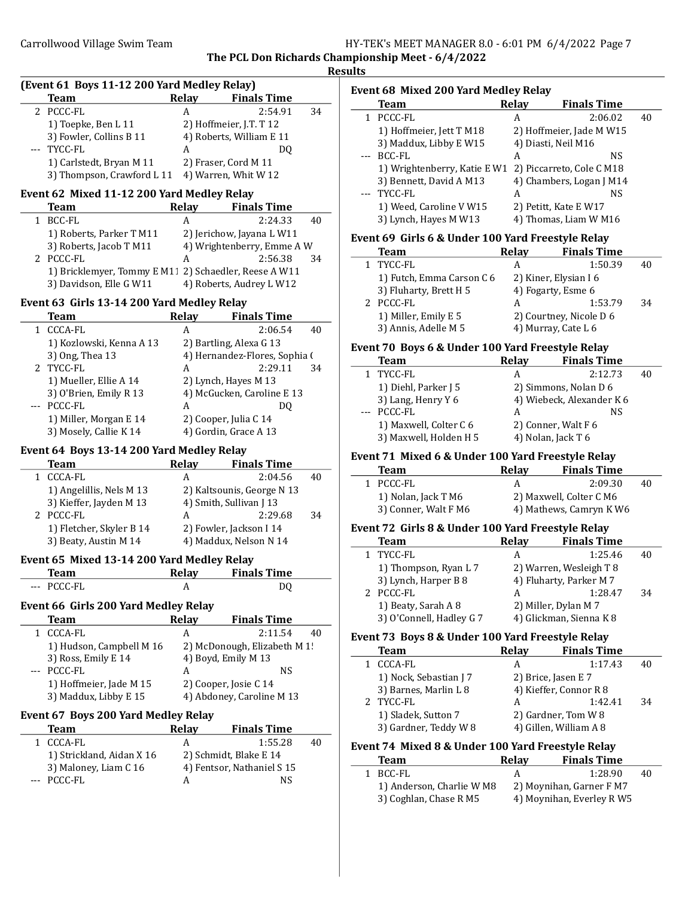The PCL Don Richards Championship Meet - 6/4/2022 Results

|       | (Event 61 Boys 11-12 200 Yard Medley Relay)           |              |                                                |    |
|-------|-------------------------------------------------------|--------------|------------------------------------------------|----|
|       | <b>Team</b>                                           | <b>Relay</b> | <b>Finals Time</b>                             |    |
| 2     | PCCC-FL                                               | A            | 2:54.91                                        | 34 |
|       | 1) Toepke, Ben L 11                                   |              | 2) Hoffmeier, J.T. T 12                        |    |
|       | 3) Fowler, Collins B 11                               |              | 4) Roberts, William E 11                       |    |
|       | TYCC-FL                                               | A            | DO                                             |    |
|       | 1) Carlstedt, Bryan M 11                              |              | 2) Fraser, Cord M 11                           |    |
|       | 3) Thompson, Crawford L 11 4) Warren, Whit W 12       |              |                                                |    |
|       | Event 62 Mixed 11-12 200 Yard Medley Relay            |              |                                                |    |
|       | <b>Team</b>                                           | Relay        | <b>Finals Time</b>                             |    |
| $1\,$ | BCC-FL                                                | Α            | 2:24.33                                        | 40 |
|       | 1) Roberts, Parker T M11                              |              | 2) Jerichow, Jayana L W11                      |    |
|       | 3) Roberts, Jacob T M11                               |              | 4) Wrightenberry, Emme A W                     |    |
|       | 2 PCCC-FL                                             | А            | 2:56.38                                        | 34 |
|       | 1) Bricklemyer, Tommy E M11 2) Schaedler, Reese A W11 |              |                                                |    |
|       | 3) Davidson, Elle G W11                               |              | 4) Roberts, Audrey L W12                       |    |
|       | Event 63 Girls 13-14 200 Yard Medley Relay            |              |                                                |    |
|       | Team                                                  | Relay        | <b>Finals Time</b>                             |    |
|       | 1 CCCA-FL                                             | Α            | 2:06.54                                        | 40 |
|       | 1) Kozlowski, Kenna A 13                              |              | 2) Bartling, Alexa G 13                        |    |
|       | 3) Ong, Thea 13                                       |              | 4) Hernandez-Flores, Sophia (                  |    |
|       | 2 TYCC-FL                                             | A            | 2:29.11                                        | 34 |
|       | 1) Mueller, Ellie A 14                                |              | 2) Lynch, Hayes M 13                           |    |
|       | 3) O'Brien, Emily R 13<br>PCCC-FL                     |              | 4) McGucken, Caroline E 13                     |    |
|       |                                                       | A            | DO.                                            |    |
|       | 1) Miller, Morgan E 14<br>3) Mosely, Callie K 14      |              | 2) Cooper, Julia C 14<br>4) Gordin, Grace A 13 |    |
|       |                                                       |              |                                                |    |
|       | Event 64 Boys 13-14 200 Yard Medley Relay             |              |                                                |    |
|       | Team                                                  |              | Relay Finals Time                              |    |
|       | 1 CCCA-FL<br>1) Angelillis, Nels M 13                 | А            | 2:04.56<br>2) Kaltsounis, George N 13          | 40 |
|       | 3) Kieffer, Jayden M 13                               |              | 4) Smith, Sullivan J 13                        |    |
|       | 2 PCCC-FL                                             | А            | 2:29.68                                        | 34 |
|       | 1) Fletcher, Skyler B 14                              |              | 2) Fowler, Jackson I 14                        |    |
|       | 3) Beaty, Austin M 14                                 |              | 4) Maddux, Nelson N 14                         |    |
|       |                                                       |              |                                                |    |
|       | Event 65 Mixed 13-14 200 Yard Medley Relay<br>Team    | <b>Relay</b> | <b>Finals Time</b>                             |    |
|       | PCCC-FL                                               | A            | DQ                                             |    |
|       |                                                       |              |                                                |    |
|       | Event 66 Girls 200 Yard Medley Relay                  |              |                                                |    |
|       | <u>Team</u>                                           | <b>Relay</b> | <b>Finals Time</b>                             |    |
| 1     | <b>CCCA-FL</b>                                        | A            | 2:11.54                                        | 40 |
|       | 1) Hudson, Campbell M 16                              |              | 2) McDonough, Elizabeth M 1!                   |    |
|       | 3) Ross, Emily E 14<br>PCCC-FL                        | A            | 4) Boyd, Emily M 13<br>NS                      |    |
|       | 1) Hoffmeier, Jade M 15                               |              | 2) Cooper, Josie C 14                          |    |
|       | 3) Maddux, Libby E 15                                 |              | 4) Abdoney, Caroline M 13                      |    |
|       |                                                       |              |                                                |    |
|       | <b>Event 67 Boys 200 Yard Medley Relay</b>            |              |                                                |    |
|       | <b>Team</b>                                           | <b>Relay</b> | <b>Finals Time</b>                             |    |
| 1     | <b>CCCA-FL</b>                                        | A            | 1:55.28                                        | 40 |
|       | 1) Strickland, Aidan X 16                             |              | 2) Schmidt, Blake E 14                         |    |
|       | 3) Maloney, Liam C 16<br>PCCC-FL                      | A            | 4) Fentsor, Nathaniel S 15<br>NS               |    |
|       |                                                       |              |                                                |    |
|       |                                                       |              |                                                |    |
|       |                                                       |              |                                                |    |

|              | Event 68 Mixed 200 Yard Medley Relay<br>Team                     | Relay             | <b>Finals Time</b>                                    |    |
|--------------|------------------------------------------------------------------|-------------------|-------------------------------------------------------|----|
| 1            | PCCC-FL                                                          | A                 | 2:06.02                                               | 40 |
|              | 1) Hoffmeier, Jett T M18                                         |                   | 2) Hoffmeier, Jade M W15                              |    |
|              | 3) Maddux, Libby E W15                                           |                   | 4) Diasti, Neil M16                                   |    |
|              | <b>BCC-FL</b>                                                    | A                 | NS                                                    |    |
|              | 1) Wrightenberry, Katie E W1 2) Piccarreto, Cole C M18           |                   |                                                       |    |
|              | 3) Bennett, David A M13                                          |                   | 4) Chambers, Logan J M14                              |    |
| $\cdots$     | TYCC-FL                                                          | A                 | NS                                                    |    |
|              | 1) Weed, Caroline V W15                                          |                   | 2) Petitt, Kate E W17                                 |    |
|              | 3) Lynch, Hayes M W13                                            |                   | 4) Thomas, Liam W M16                                 |    |
|              | Event 69 Girls 6 & Under 100 Yard Freestyle Relay<br><b>Team</b> | Relay             | <b>Finals Time</b>                                    |    |
| $\mathbf{1}$ | TYCC-FL                                                          | A                 | 1:50.39                                               | 40 |
|              | 1) Futch, Emma Carson C 6                                        |                   | 2) Kiner, Elysian I 6                                 |    |
|              | 3) Fluharty, Brett H 5                                           |                   | 4) Fogarty, Esme 6                                    |    |
|              | 2 PCCC-FL                                                        | A                 | 1:53.79                                               | 34 |
|              | 1) Miller, Emily E 5                                             |                   | 2) Courtney, Nicole D 6                               |    |
|              | 3) Annis, Adelle M 5                                             |                   | 4) Murray, Cate L 6                                   |    |
|              | Event 70 Boys 6 & Under 100 Yard Freestyle Relay                 |                   |                                                       |    |
|              | <b>Team</b>                                                      | Relay             | <b>Finals Time</b>                                    |    |
|              | 1 TYCC-FL                                                        | А                 | 2:12.73                                               | 40 |
|              | 1) Diehl, Parker J 5                                             |                   | 2) Simmons, Nolan D 6                                 |    |
|              | 3) Lang, Henry Y 6                                               |                   | 4) Wiebeck, Alexander K 6                             |    |
| ---          | PCCC-FL                                                          | A                 | NS                                                    |    |
|              | 1) Maxwell, Colter C 6                                           |                   | 2) Conner, Walt F 6                                   |    |
|              | 3) Maxwell, Holden H 5                                           |                   | 4) Nolan, Jack T 6                                    |    |
|              | Event 71 Mixed 6 & Under 100 Yard Freestyle Relay<br><b>Team</b> | Relay             | <b>Finals Time</b>                                    |    |
| 1            | PCCC-FL                                                          | A                 | 2:09.30                                               | 40 |
|              |                                                                  |                   |                                                       |    |
|              |                                                                  |                   |                                                       |    |
|              | 1) Nolan, Jack T M6                                              |                   | 2) Maxwell, Colter C M6                               |    |
|              | 3) Conner, Walt F M6                                             |                   | 4) Mathews, Camryn K W6                               |    |
|              | Event 72 Girls 8 & Under 100 Yard Freestyle Relay<br><b>Team</b> |                   | <b>Finals Time</b>                                    |    |
| 1            | TYCC-FL                                                          | Relay<br>A        | 1:25.46                                               | 40 |
|              |                                                                  |                   | 2) Warren, Wesleigh T 8                               |    |
|              | 1) Thompson, Ryan L 7<br>3) Lynch, Harper B 8                    |                   |                                                       |    |
|              | 2 PCCC-FL                                                        | A                 | 4) Fluharty, Parker M 7<br>1:28.47                    | 34 |
|              | 1) Beaty, Sarah A 8                                              |                   | 2) Miller, Dylan M 7                                  |    |
|              | 3) O'Connell, Hadley G 7                                         |                   | 4) Glickman, Sienna K 8                               |    |
|              | Event 73 Boys 8 & Under 100 Yard Freestyle Relay                 |                   |                                                       |    |
|              | <b>Team</b>                                                      | Relay             | <b>Finals Time</b>                                    |    |
| $\mathbf{1}$ | CCCA-FL                                                          | A                 | 1:17.43                                               | 40 |
|              | 1) Nock, Sebastian J 7                                           |                   | 2) Brice, Jasen E 7                                   |    |
|              | 3) Barnes, Marlin L 8                                            |                   | 4) Kieffer, Connor R 8                                |    |
|              | 2 TYCC-FL                                                        | A                 | 1:42.41                                               | 34 |
|              | 1) Sladek, Sutton 7                                              |                   | 2) Gardner, Tom W 8                                   |    |
|              | 3) Gardner, Teddy W 8                                            |                   | 4) Gillen, William A 8                                |    |
|              | Event 74 Mixed 8 & Under 100 Yard Freestyle Relay<br><b>Team</b> |                   |                                                       |    |
| 1            |                                                                  | <b>Relay</b><br>A | <b>Finals Time</b>                                    | 40 |
|              | BCC-FL                                                           |                   | 1:28.90                                               |    |
|              | 1) Anderson, Charlie W M8<br>3) Coghlan, Chase R M5              |                   | 2) Moynihan, Garner F M7<br>4) Moynihan, Everley R W5 |    |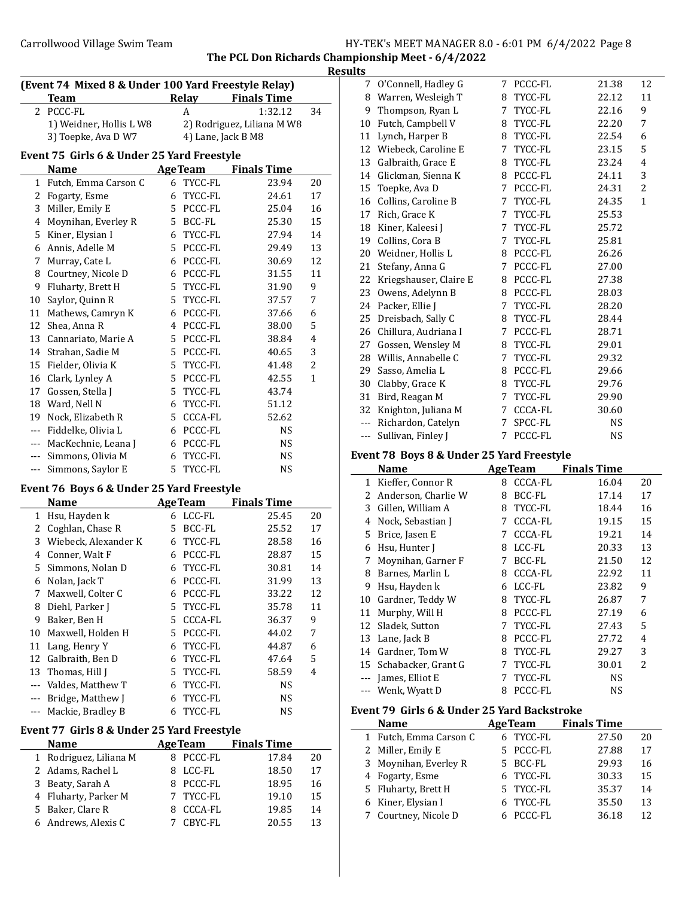$\overline{a}$ 

| HY-TEK's MEET MANAGER 8.0 - 6:01 PM 6/4/2022 Page 8 |  |  |  |
|-----------------------------------------------------|--|--|--|
|-----------------------------------------------------|--|--|--|

The PCL Don Richards Championship Meet - 6/4/2022

|                                                     |       |                            |    | <b>Results</b>       |  |  |
|-----------------------------------------------------|-------|----------------------------|----|----------------------|--|--|
| (Event 74 Mixed 8 & Under 100 Yard Freestyle Relay) |       |                            |    |                      |  |  |
| Team                                                | Relay | <b>Finals Time</b>         |    |                      |  |  |
| 2 PCCC-FL                                           |       | 1:32.12                    | 34 |                      |  |  |
| 1) Weidner, Hollis L W8                             |       | 2) Rodriguez, Liliana M W8 |    | 1(                   |  |  |
| 3) Toepke, Ava D W7                                 |       | 4) Lane, Jack B M8         |    | $1^{\circ}$          |  |  |
|                                                     |       |                            |    | $\ddot{\phantom{1}}$ |  |  |

# Event 75 Girls 6 & Under 25 Yard Freestyle

|              | Name                 | <b>AgeTeam</b> | <b>Finals Time</b> |              |
|--------------|----------------------|----------------|--------------------|--------------|
| $\mathbf{1}$ | Futch, Emma Carson C | TYCC-FL<br>6   | 23.94              | 20           |
| 2            | Fogarty, Esme        | TYCC-FL<br>6   | 24.61              | 17           |
| 3            | Miller, Emily E      | PCCC-FL<br>5.  | 25.04              | 16           |
| 4            | Moynihan, Everley R  | BCC-FL<br>5.   | 25.30              | 15           |
| 5            | Kiner, Elysian I     | TYCC-FL<br>6   | 27.94              | 14           |
| 6            | Annis, Adelle M      | PCCC-FL<br>5.  | 29.49              | 13           |
| 7            | Murray, Cate L       | PCCC-FL<br>6   | 30.69              | 12           |
| 8            | Courtney, Nicole D   | PCCC-FL<br>6   | 31.55              | 11           |
| 9            | Fluharty, Brett H    | TYCC-FL<br>5.  | 31.90              | 9            |
| 10           | Saylor, Quinn R      | TYCC-FL<br>5.  | 37.57              | 7            |
| 11           | Mathews, Camryn K    | PCCC-FL<br>6   | 37.66              | 6            |
| 12           | Shea, Anna R         | PCCC-FL<br>4   | 38.00              | 5            |
| 13           | Cannariato, Marie A  | PCCC-FL<br>5.  | 38.84              | 4            |
| 14           | Strahan, Sadie M     | PCCC-FL<br>5.  | 40.65              | 3            |
| 15           | Fielder, Olivia K    | TYCC-FL<br>5.  | 41.48              | 2            |
| 16           | Clark, Lynley A      | 5 PCCC-FL      | 42.55              | $\mathbf{1}$ |
| 17           | Gossen, Stella J     | TYCC-FL<br>5.  | 43.74              |              |
| 18           | Ward, Nell N         | TYCC-FL<br>6   | 51.12              |              |
| 19           | Nock, Elizabeth R    | CCCA-FL<br>5.  | 52.62              |              |
| ---          | Fiddelke, Olivia L   | PCCC-FL<br>6   | <b>NS</b>          |              |
| $\cdots$     | MacKechnie, Leana J  | PCCC-FL<br>6   | <b>NS</b>          |              |
| $---$        | Simmons, Olivia M    | TYCC-FL<br>6   | <b>NS</b>          |              |
| $\cdots$     | Simmons, Saylor E    | TYCC-FL<br>5.  | <b>NS</b>          |              |

### Event 76 Boys 6 & Under 25 Yard Freestyle

|    | <b>Name</b>          |    | <b>AgeTeam</b> | <b>Finals Time</b> |    |
|----|----------------------|----|----------------|--------------------|----|
| 1  | Hsu, Hayden k        | 6  | LCC-FL         | 25.45              | 20 |
| 2  | Coghlan, Chase R     | 5. | BCC-FL         | 25.52              | 17 |
| 3  | Wiebeck, Alexander K | 6  | TYCC-FL        | 28.58              | 16 |
| 4  | Conner, Walt F       | 6  | PCCC-FL        | 28.87              | 15 |
| 5  | Simmons, Nolan D     | 6  | TYCC-FL        | 30.81              | 14 |
| 6  | Nolan, Jack T        | 6  | PCCC-FL        | 31.99              | 13 |
| 7  | Maxwell, Colter C    | 6  | PCCC-FL        | 33.22              | 12 |
| 8  | Diehl, Parker J      |    | 5 TYCC-FL      | 35.78              | 11 |
| 9  | Baker, Ben H         | 5. | CCCA-FL        | 36.37              | 9  |
| 10 | Maxwell, Holden H    | 5. | PCCC-FL        | 44.02              | 7  |
| 11 | Lang, Henry Y        | 6  | TYCC-FL        | 44.87              | 6  |
| 12 | Galbraith, Ben D     | 6  | TYCC-FL        | 47.64              | 5  |
| 13 | Thomas, Hill J       | 5. | TYCC-FL        | 58.59              | 4  |
|    | Valdes, Matthew T    | 6  | TYCC-FL        | <b>NS</b>          |    |
|    | Bridge, Matthew J    | 6  | TYCC-FL        | NS.                |    |
|    | Mackie, Bradley B    | 6  | TYCC-FL        | NS                 |    |

## Event 77 Girls 8 & Under 25 Yard Freestyle

| <b>Name</b>            | <b>AgeTeam</b> |           | <b>Finals Time</b> |    |
|------------------------|----------------|-----------|--------------------|----|
| 1 Rodriguez, Liliana M |                | 8 PCCC-FL | 17.84              | 20 |
| 2 Adams, Rachel L      |                | 8 LCC-FL  | 18.50              | 17 |
| 3 Beaty, Sarah A       |                | 8 PCCC-FL | 18.95              | 16 |
| 4 Fluharty, Parker M   |                | 7 TYCC-FL | 19.10              | 15 |
| 5 Baker, Clare R       |                | CCCA-FL   | 19.85              | 14 |
| 6 Andrews, Alexis C    |                | 7 CBYC-FL | 20.55              | 13 |

|               | 7 O'Connell, Hadley G  | 7 | PCCC-FL   | 21.38     | 12           |
|---------------|------------------------|---|-----------|-----------|--------------|
| 8             | Warren, Wesleigh T     | 8 | TYCC-FL   | 22.12     | 11           |
| 9             | Thompson, Ryan L       | 7 | TYCC-FL   | 22.16     | 9            |
| 10            | Futch, Campbell V      |   | 8 TYCC-FL | 22.20     | 7            |
| 11            | Lynch, Harper B        | 8 | TYCC-FL   | 22.54     | 6            |
|               | 12 Wiebeck, Caroline E | 7 | TYCC-FL   | 23.15     | 5            |
| 13            | Galbraith, Grace E     |   | 8 TYCC-FL | 23.24     | 4            |
| 14            | Glickman, Sienna K     | 8 | PCCC-FL   | 24.11     | 3            |
| 15            | Toepke, Ava D          | 7 | PCCC-FL   | 24.31     | 2            |
| 16            | Collins, Caroline B    | 7 | TYCC-FL   | 24.35     | $\mathbf{1}$ |
| 17            | Rich, Grace K          | 7 | TYCC-FL   | 25.53     |              |
| 18            | Kiner, Kaleesi J       | 7 | TYCC-FL   | 25.72     |              |
| 19            | Collins, Cora B        | 7 | TYCC-FL   | 25.81     |              |
| 20            | Weidner, Hollis L      | 8 | PCCC-FL   | 26.26     |              |
| 21            | Stefany, Anna G        | 7 | PCCC-FL   | 27.00     |              |
| 22            | Kriegshauser, Claire E | 8 | PCCC-FL   | 27.38     |              |
| 23            | Owens, Adelynn B       | 8 | PCCC-FL   | 28.03     |              |
| 24            | Packer, Ellie J        | 7 | TYCC-FL   | 28.20     |              |
| 25            | Dreisbach, Sally C     |   | 8 TYCC-FL | 28.44     |              |
| 26            | Chillura, Audriana I   | 7 | PCCC-FL   | 28.71     |              |
| 27            | Gossen, Wensley M      |   | 8 TYCC-FL | 29.01     |              |
|               | 28 Willis, Annabelle C | 7 | TYCC-FL   | 29.32     |              |
| 29            | Sasso, Amelia L        | 8 | PCCC-FL   | 29.66     |              |
| 30            | Clabby, Grace K        | 8 | TYCC-FL   | 29.76     |              |
| 31            | Bird, Reagan M         | 7 | TYCC-FL   | 29.90     |              |
| 32            | Knighton, Juliana M    | 7 | CCCA-FL   | 30.60     |              |
| $\frac{1}{2}$ | Richardon, Catelyn     | 7 | SPCC-FL   | NS.       |              |
| ---           | Sullivan, Finley J     | 7 | PCCC-FL   | <b>NS</b> |              |

# Event 78 Boys 8 & Under 25 Yard Freestyle

|    | <b>Name</b>            |   | <b>AgeTeam</b> | <b>Finals Time</b> |                          |
|----|------------------------|---|----------------|--------------------|--------------------------|
| 1  | Kieffer, Connor R      | 8 | CCCA-FL        | 16.04              | 20                       |
| 2  | Anderson, Charlie W    | 8 | BCC-FL         | 17.14              | 17                       |
| 3  | Gillen, William A      | 8 | TYCC-FL        | 18.44              | 16                       |
| 4  | Nock, Sebastian J      | 7 | <b>CCCA-FL</b> | 19.15              | 15                       |
| 5. | Brice, Jasen E         | 7 | <b>CCCA-FL</b> | 19.21              | 14                       |
| 6  | Hsu, Hunter I          | 8 | LCC-FL         | 20.33              | 13                       |
| 7  | Moynihan, Garner F     | 7 | BCC-FL         | 21.50              | 12                       |
| 8  | Barnes, Marlin L       | 8 | CCCA-FL        | 22.92              | 11                       |
| 9  | Hsu, Hayden k          | 6 | LCC-FL         | 23.82              | 9                        |
| 10 | Gardner, Teddy W       | 8 | TYCC-FL        | 26.87              | 7                        |
| 11 | Murphy, Will H         | 8 | PCCC-FL        | 27.19              | 6                        |
| 12 | Sladek, Sutton         | 7 | TYCC-FL        | 27.43              | 5                        |
| 13 | Lane, Jack B           | 8 | PCCC-FL        | 27.72              | 4                        |
|    | 14 Gardner, Tom W      | 8 | TYCC-FL        | 29.27              | 3                        |
|    | 15 Schabacker, Grant G | 7 | TYCC-FL        | 30.01              | $\overline{\mathcal{L}}$ |
|    | James, Elliot E        | 7 | TYCC-FL        | NS                 |                          |
|    | Wenk, Wyatt D          | 8 | PCCC-FL        | NS                 |                          |

# Event 79 Girls 6 & Under 25 Yard Backstroke

 $\overline{\phantom{0}}$ 

| <b>Name</b>            | <b>AgeTeam</b> | <b>Finals Time</b> |    |
|------------------------|----------------|--------------------|----|
| 1 Futch, Emma Carson C | 6 TYCC-FL      | 27.50              | 20 |
| 2 Miller, Emily E      | 5 PCCC-FL      | 27.88              | 17 |
| 3 Moynihan, Everley R  | 5 BCC-FL       | 29.93              | 16 |
| 4 Fogarty, Esme        | 6 TYCC-FL      | 30.33              | 15 |
| 5 Fluharty, Brett H    | 5 TYCC-FL      | 35.37              | 14 |
| 6 Kiner, Elysian I     | 6 TYCC-FL      | 35.50              | 13 |
| 7 Courtney, Nicole D   | 6 PCCC-FL      | 36.18              | 12 |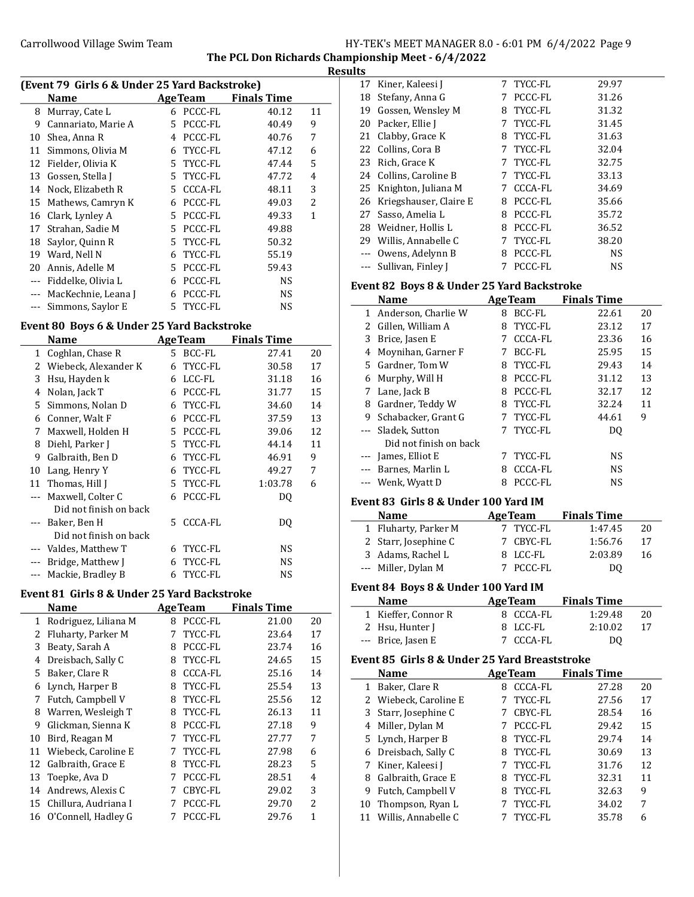The PCL Don Richards Championship Meet - 6/4/2022 Results

| (Event 79 Girls 6 & Under 25 Yard Backstroke) |                     |    |                |                    |              |  |
|-----------------------------------------------|---------------------|----|----------------|--------------------|--------------|--|
|                                               | Name                |    | <b>AgeTeam</b> | <b>Finals Time</b> |              |  |
| 8                                             | Murray, Cate L      | 6  | PCCC-FL        | 40.12              | 11           |  |
| 9                                             | Cannariato, Marie A | 5. | PCCC-FL        | 40.49              | 9            |  |
| 10                                            | Shea, Anna R        | 4  | PCCC-FL        | 40.76              | 7            |  |
| 11                                            | Simmons, Olivia M   | 6  | TYCC-FL        | 47.12              | 6            |  |
| 12                                            | Fielder, Olivia K   |    | 5 TYCC-FL      | 47.44              | 5            |  |
| 13                                            | Gossen, Stella J    |    | 5 TYCC-FL      | 47.72              | 4            |  |
| 14                                            | Nock, Elizabeth R   |    | 5 CCCA-FL      | 48.11              | 3            |  |
| 15                                            | Mathews, Camryn K   | 6  | PCCC-FL        | 49.03              | 2            |  |
| 16                                            | Clark, Lynley A     | 5. | PCCC-FL        | 49.33              | $\mathbf{1}$ |  |
| 17                                            | Strahan, Sadie M    | 5. | PCCC-FL        | 49.88              |              |  |
| 18                                            | Saylor, Quinn R     |    | 5 TYCC-FL      | 50.32              |              |  |
| 19                                            | Ward, Nell N        | 6  | TYCC-FL        | 55.19              |              |  |
| 20                                            | Annis, Adelle M     | 5. | PCCC-FL        | 59.43              |              |  |
| $\cdots$                                      | Fiddelke, Olivia L  | 6  | PCCC-FL        | <b>NS</b>          |              |  |
| ---                                           | MacKechnie, Leana J | 6  | PCCC-FL        | <b>NS</b>          |              |  |
|                                               | Simmons, Saylor E   |    | 5 TYCC-FL      | NS                 |              |  |

### Event 80 Boys 6 & Under 25 Yard Backstroke

 $\overline{a}$ 

 $\overline{\phantom{a}}$ 

|    | Name                   |    | <b>AgeTeam</b> | <b>Finals Time</b> |    |
|----|------------------------|----|----------------|--------------------|----|
| 1  | Coghlan, Chase R       | 5. | BCC-FL         | 27.41              | 20 |
| 2  | Wiebeck, Alexander K   | 6  | TYCC-FL        | 30.58              | 17 |
| 3  | Hsu, Hayden k          | 6  | LCC-FL         | 31.18              | 16 |
| 4  | Nolan, Jack T          | 6  | PCCC-FL        | 31.77              | 15 |
| 5. | Simmons, Nolan D       | 6  | TYCC-FL        | 34.60              | 14 |
| 6  | Conner, Walt F         | 6  | PCCC-FL        | 37.59              | 13 |
| 7  | Maxwell, Holden H      | 5. | PCCC-FL        | 39.06              | 12 |
| 8  | Diehl, Parker J        | 5. | TYCC-FL        | 44.14              | 11 |
| 9  | Galbraith, Ben D       | 6  | TYCC-FL        | 46.91              | 9  |
| 10 | Lang, Henry Y          | 6  | TYCC-FL        | 49.27              | 7  |
| 11 | Thomas, Hill J         | 5. | TYCC-FL        | 1:03.78            | 6  |
|    | Maxwell, Colter C      | 6  | PCCC-FL        | DQ                 |    |
|    | Did not finish on back |    |                |                    |    |
|    | Baker, Ben H           | 5. | <b>CCCA-FL</b> | DO                 |    |
|    | Did not finish on back |    |                |                    |    |
|    | Valdes, Matthew T      | 6  | TYCC-FL        | NS.                |    |
|    | Bridge, Matthew J      | 6  | TYCC-FL        | NS.                |    |
|    | Mackie, Bradley B      | 6  | TYCC-FL        | NS                 |    |
|    |                        |    |                |                    |    |

# Event 81 Girls 8 & Under 25 Yard Backstroke

|    | <b>Name</b>          |   | <b>AgeTeam</b> | <b>Finals Time</b> |                |
|----|----------------------|---|----------------|--------------------|----------------|
| 1  | Rodriguez, Liliana M | 8 | PCCC-FL        | 21.00              | 20             |
| 2  | Fluharty, Parker M   | 7 | TYCC-FL        | 23.64              | 17             |
| 3  | Beaty, Sarah A       | 8 | PCCC-FL        | 23.74              | 16             |
| 4  | Dreisbach, Sally C   | 8 | TYCC-FL        | 24.65              | 15             |
| 5. | Baker, Clare R       | 8 | <b>CCCA-FL</b> | 25.16              | 14             |
| 6  | Lynch, Harper B      | 8 | TYCC-FL        | 25.54              | 13             |
| 7  | Futch, Campbell V    | 8 | TYCC-FL        | 25.56              | 12             |
| 8  | Warren, Wesleigh T   | 8 | TYCC-FL        | 26.13              | 11             |
| 9  | Glickman, Sienna K   | 8 | PCCC-FL        | 27.18              | 9              |
| 10 | Bird, Reagan M       | 7 | TYCC-FL        | 27.77              | 7              |
| 11 | Wiebeck, Caroline E  | 7 | TYCC-FL        | 27.98              | 6              |
| 12 | Galbraith, Grace E   | 8 | TYCC-FL        | 28.23              | 5              |
| 13 | Toepke, Ava D        | 7 | PCCC-FL        | 28.51              | 4              |
| 14 | Andrews, Alexis C    | 7 | CBYC-FL        | 29.02              | 3              |
| 15 | Chillura, Audriana I | 7 | PCCC-FL        | 29.70              | $\overline{2}$ |
| 16 | O'Connell, Hadley G  |   | PCCC-FL        | 29.76              | 1              |

|    | 17 Kiner, Kaleesi J       | 7 | TYCC-FL   | 29.97     |
|----|---------------------------|---|-----------|-----------|
|    | 18 Stefany, Anna G        | 7 | PCCC-FL   | 31.26     |
| 19 | Gossen, Wensley M         | 8 | TYCC-FL   | 31.32     |
| 20 | Packer, Ellie J           | 7 | TYCC-FL   | 31.45     |
|    | 21 Clabby, Grace K        | 8 | TYCC-FL   | 31.63     |
|    | 22 Collins, Cora B        |   | 7 TYCC-FL | 32.04     |
|    | 23 Rich, Grace K          | 7 | TYCC-FL   | 32.75     |
|    | 24 Collins, Caroline B    |   | 7 TYCC-FL | 33.13     |
|    | 25 Knighton, Juliana M    | 7 | CCCA-FL   | 34.69     |
|    | 26 Kriegshauser, Claire E | 8 | PCCC-FL   | 35.66     |
| 27 | Sasso, Amelia L           | 8 | PCCC-FL   | 35.72     |
|    | 28 Weidner, Hollis L      | 8 | PCCC-FL   | 36.52     |
|    | 29 Willis, Annabelle C    | 7 | TYCC-FL   | 38.20     |
|    | --- Owens, Adelynn B      | 8 | PCCC-FL   | <b>NS</b> |
|    | --- Sullivan, Finley J    |   | PCCC-FL   | NS        |

### Event 82 Boys 8 & Under 25 Yard Backstroke

| <b>Name</b> |                        |   | <b>AgeTeam</b> | <b>Finals Time</b> |    |
|-------------|------------------------|---|----------------|--------------------|----|
|             | 1 Anderson, Charlie W  | 8 | BCC-FL         | 22.61              | 20 |
|             | 2 Gillen, William A    | 8 | TYCC-FL        | 23.12              | 17 |
| 3           | Brice, Jasen E         | 7 | CCCA-FL        | 23.36              | 16 |
| 4           | Moynihan, Garner F     | 7 | BCC-FL         | 25.95              | 15 |
|             | 5 Gardner, Tom W       | 8 | TYCC-FL        | 29.43              | 14 |
| 6           | Murphy, Will H         | 8 | PCCC-FL        | 31.12              | 13 |
| 7           | Lane, Jack B           | 8 | PCCC-FL        | 32.17              | 12 |
| 8           | Gardner, Teddy W       | 8 | TYCC-FL        | 32.24              | 11 |
| 9           | Schabacker, Grant G    | 7 | TYCC-FL        | 44.61              | 9  |
|             | --- Sladek, Sutton     |   | 7 TYCC-FL      | DQ.                |    |
|             | Did not finish on back |   |                |                    |    |
|             | James, Elliot E        | 7 | TYCC-FL        | <b>NS</b>          |    |
|             | --- Barnes, Marlin L   | 8 | CCCA-FL        | <b>NS</b>          |    |
|             | Wenk, Wyatt D          | 8 | PCCC-FL        | NS                 |    |

## Event 83 Girls 8 & Under 100 Yard IM

| <b>Name</b>          | <b>AgeTeam</b> | <b>Finals Time</b> |    |
|----------------------|----------------|--------------------|----|
| 1 Fluharty, Parker M | 7 TYCC-FL      | 1:47.45            | 20 |
| 2 Starr, Josephine C | 7 CBYC-FL      | 1:56.76            | 17 |
| 3 Adams, Rachel L    | 8 LCC-FL       | 2:03.89            | 16 |
| --- Miller, Dylan M  | 7 PCCC-FL      | DO.                |    |

### Event 84 Boys 8 & Under 100 Yard IM

| <b>Name</b>         | <b>AgeTeam</b> | <b>Finals Time</b> |    |
|---------------------|----------------|--------------------|----|
| 1 Kieffer, Connor R | 8 CCCA-FL      | 1:29.48            | 20 |
| 2 Hsu, Hunter J     | 8 LCC-FL       | 2:10.02            | 17 |
| --- Brice, Jasen E  | 7 CCCA-FL      | DO.                |    |

# Event 85 Girls 8 & Under 25 Yard Breaststroke

|    | Name                  |   | <b>AgeTeam</b> | <b>Finals Time</b> |    |
|----|-----------------------|---|----------------|--------------------|----|
|    | 1 Baker, Clare R      |   | CCCA-FL        | 27.28              | 20 |
|    | 2 Wiebeck, Caroline E |   | TYCC-FL        | 27.56              | 17 |
|    | 3 Starr, Josephine C  |   | CBYC-FL        | 28.54              | 16 |
|    | 4 Miller, Dylan M     |   | PCCC-FL        | 29.42              | 15 |
|    | 5 Lynch, Harper B     | 8 | TYCC-FL        | 29.74              | 14 |
|    | 6 Dreisbach, Sally C  | 8 | TYCC-FL        | 30.69              | 13 |
|    | 7 Kiner, Kaleesi J    |   | TYCC-FL        | 31.76              | 12 |
| 8  | Galbraith, Grace E    | 8 | TYCC-FL        | 32.31              | 11 |
| 9  | Futch, Campbell V     | 8 | TYCC-FL        | 32.63              | 9  |
| 10 | Thompson, Ryan L      |   | TYCC-FL        | 34.02              | 7  |
|    | Willis, Annabelle C   |   | TYCC-FL        | 35.78              | 6  |